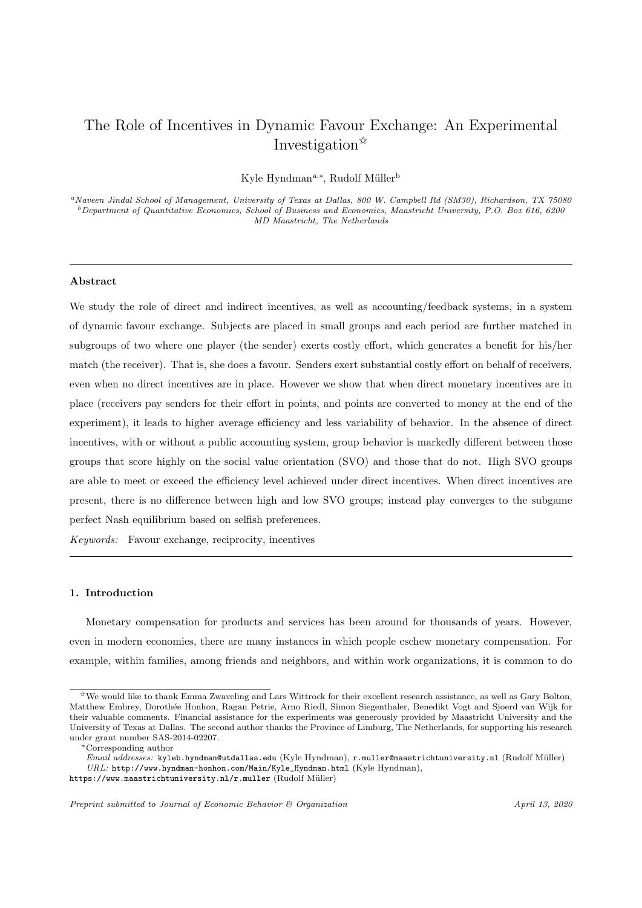# The Role of Incentives in Dynamic Favour Exchange: An Experimental Investigation<sup>\*</sup>

Kyle Hyndman<sup>a,∗</sup>, Rudolf Müller<sup>b</sup>

<sup>a</sup>Naveen Jindal School of Management, University of Texas at Dallas, 800 W. Campbell Rd (SM30), Richardson, TX 75080  $^b$  Department of Quantitative Economics, School of Business and Economics, Maastricht University, P.O. Box 616, 6200 MD Maastricht, The Netherlands

#### Abstract

We study the role of direct and indirect incentives, as well as accounting/feedback systems, in a system of dynamic favour exchange. Subjects are placed in small groups and each period are further matched in subgroups of two where one player (the sender) exerts costly effort, which generates a benefit for his/her match (the receiver). That is, she does a favour. Senders exert substantial costly effort on behalf of receivers, even when no direct incentives are in place. However we show that when direct monetary incentives are in place (receivers pay senders for their effort in points, and points are converted to money at the end of the experiment), it leads to higher average efficiency and less variability of behavior. In the absence of direct incentives, with or without a public accounting system, group behavior is markedly different between those groups that score highly on the social value orientation (SVO) and those that do not. High SVO groups are able to meet or exceed the efficiency level achieved under direct incentives. When direct incentives are present, there is no difference between high and low SVO groups; instead play converges to the subgame perfect Nash equilibrium based on selfish preferences.

Keywords: Favour exchange, reciprocity, incentives

## 1. Introduction

Monetary compensation for products and services has been around for thousands of years. However, even in modern economies, there are many instances in which people eschew monetary compensation. For example, within families, among friends and neighbors, and within work organizations, it is common to do

 $\hat{X}$ We would like to thank Emma Zwaveling and Lars Wittrock for their excellent research assistance, as well as Gary Bolton, Matthew Embrey, Doroth´ee Honhon, Ragan Petrie, Arno Riedl, Simon Siegenthaler, Benedikt Vogt and Sjoerd van Wijk for their valuable comments. Financial assistance for the experiments was generously provided by Maastricht University and the University of Texas at Dallas. The second author thanks the Province of Limburg, The Netherlands, for supporting his research under grant number SAS-2014-02207.

<sup>∗</sup>Corresponding author

Email addresses: kyleb.hyndman@utdallas.edu (Kyle Hyndman), r.muller@maastrichtuniversity.nl (Rudolf Müller) URL: http://www.hyndman-honhon.com/Main/Kyle\_Hyndman.html (Kyle Hyndman),

https://www.maastrichtuniversity.nl/r.muller (Rudolf Müller)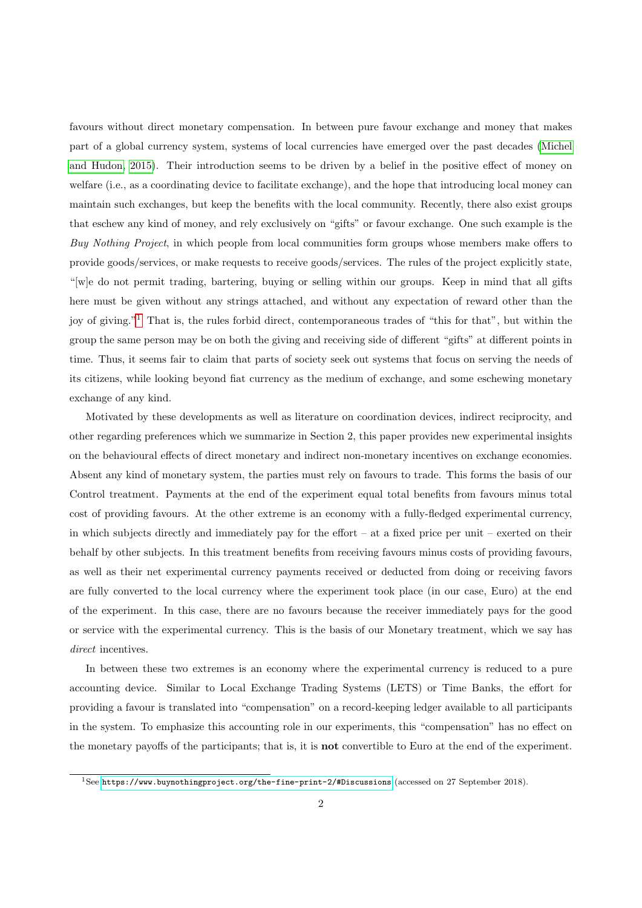favours without direct monetary compensation. In between pure favour exchange and money that makes part of a global currency system, systems of local currencies have emerged over the past decades [\(Michel](#page-22-0) [and Hudon, 2015\)](#page-22-0). Their introduction seems to be driven by a belief in the positive effect of money on welfare (i.e., as a coordinating device to facilitate exchange), and the hope that introducing local money can maintain such exchanges, but keep the benefits with the local community. Recently, there also exist groups that eschew any kind of money, and rely exclusively on "gifts" or favour exchange. One such example is the Buy Nothing Project, in which people from local communities form groups whose members make offers to provide goods/services, or make requests to receive goods/services. The rules of the project explicitly state, "[w]e do not permit trading, bartering, buying or selling within our groups. Keep in mind that all gifts here must be given without any strings attached, and without any expectation of reward other than the joy of giving."[1](#page-1-0) That is, the rules forbid direct, contemporaneous trades of "this for that", but within the group the same person may be on both the giving and receiving side of different "gifts" at different points in time. Thus, it seems fair to claim that parts of society seek out systems that focus on serving the needs of its citizens, while looking beyond fiat currency as the medium of exchange, and some eschewing monetary exchange of any kind.

Motivated by these developments as well as literature on coordination devices, indirect reciprocity, and other regarding preferences which we summarize in Section 2, this paper provides new experimental insights on the behavioural effects of direct monetary and indirect non-monetary incentives on exchange economies. Absent any kind of monetary system, the parties must rely on favours to trade. This forms the basis of our Control treatment. Payments at the end of the experiment equal total benefits from favours minus total cost of providing favours. At the other extreme is an economy with a fully-fledged experimental currency, in which subjects directly and immediately pay for the effort – at a fixed price per unit – exerted on their behalf by other subjects. In this treatment benefits from receiving favours minus costs of providing favours, as well as their net experimental currency payments received or deducted from doing or receiving favors are fully converted to the local currency where the experiment took place (in our case, Euro) at the end of the experiment. In this case, there are no favours because the receiver immediately pays for the good or service with the experimental currency. This is the basis of our Monetary treatment, which we say has direct incentives.

In between these two extremes is an economy where the experimental currency is reduced to a pure accounting device. Similar to Local Exchange Trading Systems (LETS) or Time Banks, the effort for providing a favour is translated into "compensation" on a record-keeping ledger available to all participants in the system. To emphasize this accounting role in our experiments, this "compensation" has no effect on the monetary payoffs of the participants; that is, it is not convertible to Euro at the end of the experiment.

<span id="page-1-0"></span><sup>&</sup>lt;sup>1</sup>See [https://www.buynothingproject.org/the-fine-print-2/#Discussions](https://www.buynothingproject.org/the-fine-print-2/##Discussions) (accessed on 27 September 2018).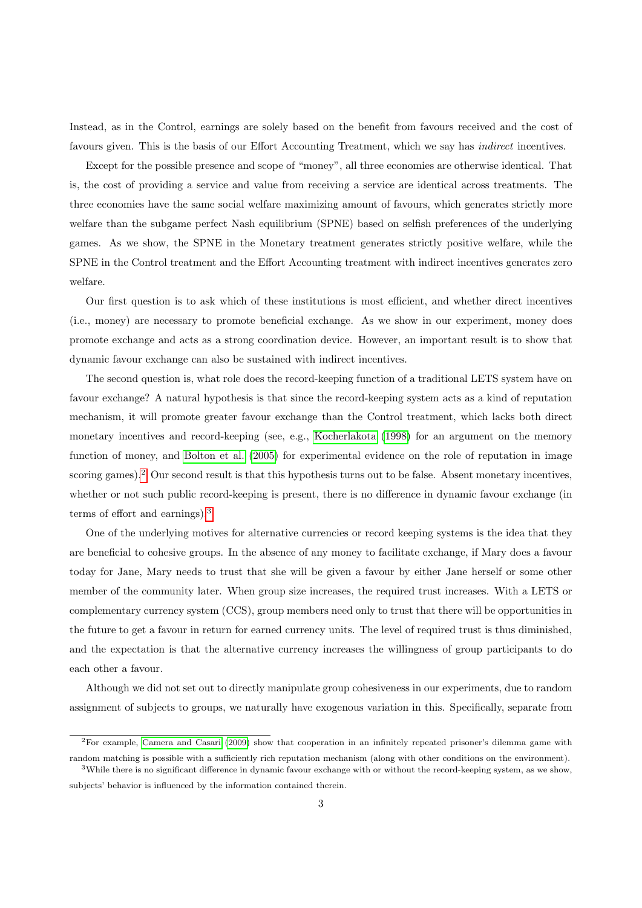Instead, as in the Control, earnings are solely based on the benefit from favours received and the cost of favours given. This is the basis of our Effort Accounting Treatment, which we say has indirect incentives.

Except for the possible presence and scope of "money", all three economies are otherwise identical. That is, the cost of providing a service and value from receiving a service are identical across treatments. The three economies have the same social welfare maximizing amount of favours, which generates strictly more welfare than the subgame perfect Nash equilibrium (SPNE) based on selfish preferences of the underlying games. As we show, the SPNE in the Monetary treatment generates strictly positive welfare, while the SPNE in the Control treatment and the Effort Accounting treatment with indirect incentives generates zero welfare.

Our first question is to ask which of these institutions is most efficient, and whether direct incentives (i.e., money) are necessary to promote beneficial exchange. As we show in our experiment, money does promote exchange and acts as a strong coordination device. However, an important result is to show that dynamic favour exchange can also be sustained with indirect incentives.

The second question is, what role does the record-keeping function of a traditional LETS system have on favour exchange? A natural hypothesis is that since the record-keeping system acts as a kind of reputation mechanism, it will promote greater favour exchange than the Control treatment, which lacks both direct monetary incentives and record-keeping (see, e.g., [Kocherlakota](#page-22-1) [\(1998\)](#page-22-1) for an argument on the memory function of money, and [Bolton et al.](#page-22-2) [\(2005\)](#page-22-2) for experimental evidence on the role of reputation in image scoring games).<sup>[2](#page-2-0)</sup> Our second result is that this hypothesis turns out to be false. Absent monetary incentives, whether or not such public record-keeping is present, there is no difference in dynamic favour exchange (in terms of effort and earnings).[3](#page-2-1)

One of the underlying motives for alternative currencies or record keeping systems is the idea that they are beneficial to cohesive groups. In the absence of any money to facilitate exchange, if Mary does a favour today for Jane, Mary needs to trust that she will be given a favour by either Jane herself or some other member of the community later. When group size increases, the required trust increases. With a LETS or complementary currency system (CCS), group members need only to trust that there will be opportunities in the future to get a favour in return for earned currency units. The level of required trust is thus diminished, and the expectation is that the alternative currency increases the willingness of group participants to do each other a favour.

Although we did not set out to directly manipulate group cohesiveness in our experiments, due to random assignment of subjects to groups, we naturally have exogenous variation in this. Specifically, separate from

<span id="page-2-0"></span><sup>2</sup>For example, [Camera and Casari](#page-22-3) [\(2009\)](#page-22-3) show that cooperation in an infinitely repeated prisoner's dilemma game with random matching is possible with a sufficiently rich reputation mechanism (along with other conditions on the environment).

<span id="page-2-1"></span><sup>&</sup>lt;sup>3</sup>While there is no significant difference in dynamic favour exchange with or without the record-keeping system, as we show, subjects' behavior is influenced by the information contained therein.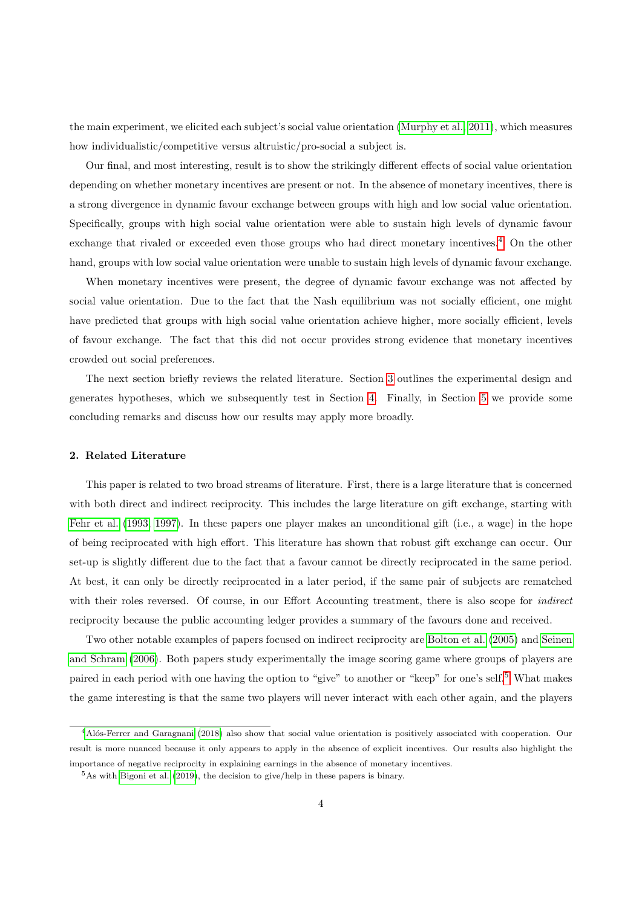the main experiment, we elicited each subject's social value orientation [\(Murphy et al., 2011\)](#page-23-0), which measures how individualistic/competitive versus altruistic/pro-social a subject is.

Our final, and most interesting, result is to show the strikingly different effects of social value orientation depending on whether monetary incentives are present or not. In the absence of monetary incentives, there is a strong divergence in dynamic favour exchange between groups with high and low social value orientation. Specifically, groups with high social value orientation were able to sustain high levels of dynamic favour exchange that rivaled or exceeded even those groups who had direct monetary incentives.[4](#page-3-0) On the other hand, groups with low social value orientation were unable to sustain high levels of dynamic favour exchange.

When monetary incentives were present, the degree of dynamic favour exchange was not affected by social value orientation. Due to the fact that the Nash equilibrium was not socially efficient, one might have predicted that groups with high social value orientation achieve higher, more socially efficient, levels of favour exchange. The fact that this did not occur provides strong evidence that monetary incentives crowded out social preferences.

The next section briefly reviews the related literature. Section [3](#page-5-0) outlines the experimental design and generates hypotheses, which we subsequently test in Section [4.](#page-10-0) Finally, in Section [5](#page-21-0) we provide some concluding remarks and discuss how our results may apply more broadly.

## 2. Related Literature

This paper is related to two broad streams of literature. First, there is a large literature that is concerned with both direct and indirect reciprocity. This includes the large literature on gift exchange, starting with [Fehr et al.](#page-22-4) [\(1993,](#page-22-4) [1997\)](#page-22-5). In these papers one player makes an unconditional gift (i.e., a wage) in the hope of being reciprocated with high effort. This literature has shown that robust gift exchange can occur. Our set-up is slightly different due to the fact that a favour cannot be directly reciprocated in the same period. At best, it can only be directly reciprocated in a later period, if the same pair of subjects are rematched with their roles reversed. Of course, in our Effort Accounting treatment, there is also scope for *indirect* reciprocity because the public accounting ledger provides a summary of the favours done and received.

Two other notable examples of papers focused on indirect reciprocity are [Bolton et al.](#page-22-2) [\(2005\)](#page-22-2) and [Seinen](#page-23-1) [and Schram](#page-23-1) [\(2006\)](#page-23-1). Both papers study experimentally the image scoring game where groups of players are paired in each period with one having the option to "give" to another or "keep" for one's self.[5](#page-3-1) What makes the game interesting is that the same two players will never interact with each other again, and the players

<span id="page-3-0"></span><sup>&</sup>lt;sup>4</sup>Alós-Ferrer and Garagnani [\(2018\)](#page-22-6) also show that social value orientation is positively associated with cooperation. Our result is more nuanced because it only appears to apply in the absence of explicit incentives. Our results also highlight the importance of negative reciprocity in explaining earnings in the absence of monetary incentives.

<span id="page-3-1"></span> $5$ As with [Bigoni et al.](#page-22-7) [\(2019\)](#page-22-7), the decision to give/help in these papers is binary.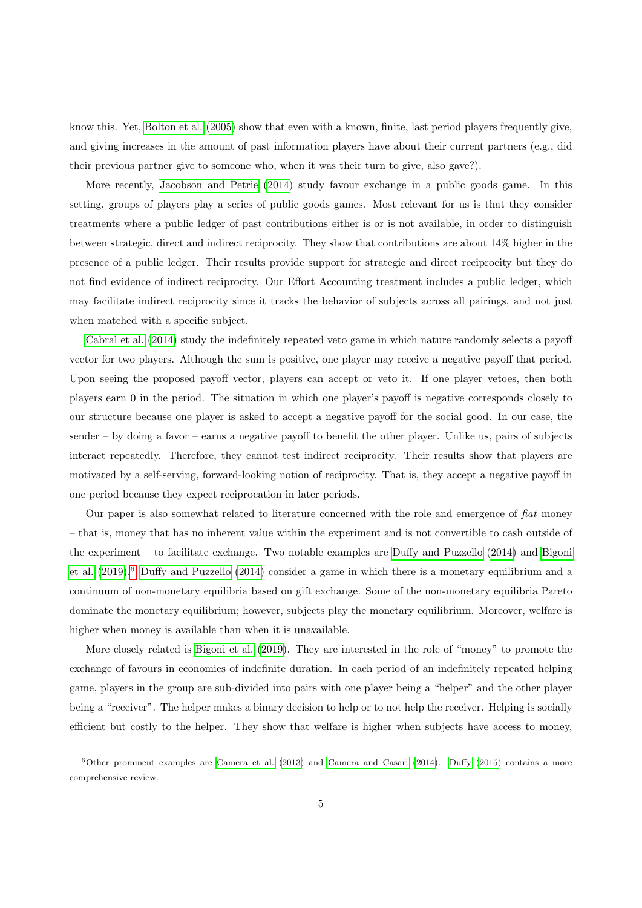know this. Yet, [Bolton et al.](#page-22-2) [\(2005\)](#page-22-2) show that even with a known, finite, last period players frequently give, and giving increases in the amount of past information players have about their current partners (e.g., did their previous partner give to someone who, when it was their turn to give, also gave?).

More recently, [Jacobson and Petrie](#page-22-8) [\(2014\)](#page-22-8) study favour exchange in a public goods game. In this setting, groups of players play a series of public goods games. Most relevant for us is that they consider treatments where a public ledger of past contributions either is or is not available, in order to distinguish between strategic, direct and indirect reciprocity. They show that contributions are about 14% higher in the presence of a public ledger. Their results provide support for strategic and direct reciprocity but they do not find evidence of indirect reciprocity. Our Effort Accounting treatment includes a public ledger, which may facilitate indirect reciprocity since it tracks the behavior of subjects across all pairings, and not just when matched with a specific subject.

[Cabral et al.](#page-22-9) [\(2014\)](#page-22-9) study the indefinitely repeated veto game in which nature randomly selects a payoff vector for two players. Although the sum is positive, one player may receive a negative payoff that period. Upon seeing the proposed payoff vector, players can accept or veto it. If one player vetoes, then both players earn 0 in the period. The situation in which one player's payoff is negative corresponds closely to our structure because one player is asked to accept a negative payoff for the social good. In our case, the sender – by doing a favor – earns a negative payoff to benefit the other player. Unlike us, pairs of subjects interact repeatedly. Therefore, they cannot test indirect reciprocity. Their results show that players are motivated by a self-serving, forward-looking notion of reciprocity. That is, they accept a negative payoff in one period because they expect reciprocation in later periods.

Our paper is also somewhat related to literature concerned with the role and emergence of fiat money – that is, money that has no inherent value within the experiment and is not convertible to cash outside of the experiment – to facilitate exchange. Two notable examples are [Duffy and Puzzello](#page-22-10) [\(2014\)](#page-22-10) and [Bigoni](#page-22-7) [et al.](#page-22-7) [\(2019\)](#page-22-7).[6](#page-4-0) [Duffy and Puzzello](#page-22-10) [\(2014\)](#page-22-10) consider a game in which there is a monetary equilibrium and a continuum of non-monetary equilibria based on gift exchange. Some of the non-monetary equilibria Pareto dominate the monetary equilibrium; however, subjects play the monetary equilibrium. Moreover, welfare is higher when money is available than when it is unavailable.

More closely related is [Bigoni et al.](#page-22-7) [\(2019\)](#page-22-7). They are interested in the role of "money" to promote the exchange of favours in economies of indefinite duration. In each period of an indefinitely repeated helping game, players in the group are sub-divided into pairs with one player being a "helper" and the other player being a "receiver". The helper makes a binary decision to help or to not help the receiver. Helping is socially efficient but costly to the helper. They show that welfare is higher when subjects have access to money,

<span id="page-4-0"></span> $6$ Other prominent examples are [Camera et al.](#page-22-11) [\(2013\)](#page-22-11) and [Camera and Casari](#page-22-12) [\(2014\)](#page-22-12). [Duffy](#page-22-13) [\(2015\)](#page-22-13) contains a more comprehensive review.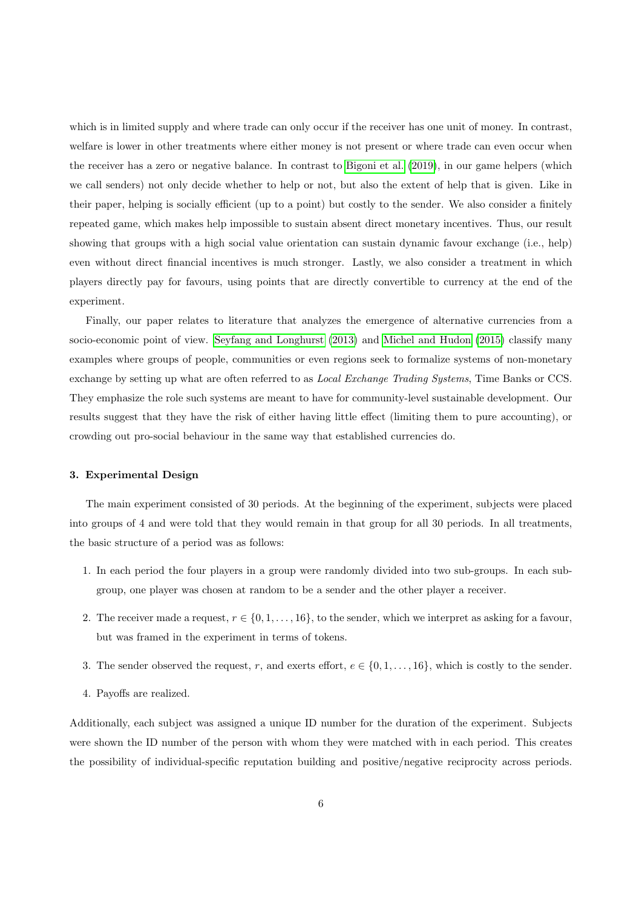which is in limited supply and where trade can only occur if the receiver has one unit of money. In contrast, welfare is lower in other treatments where either money is not present or where trade can even occur when the receiver has a zero or negative balance. In contrast to [Bigoni et al.](#page-22-7) [\(2019\)](#page-22-7), in our game helpers (which we call senders) not only decide whether to help or not, but also the extent of help that is given. Like in their paper, helping is socially efficient (up to a point) but costly to the sender. We also consider a finitely repeated game, which makes help impossible to sustain absent direct monetary incentives. Thus, our result showing that groups with a high social value orientation can sustain dynamic favour exchange (i.e., help) even without direct financial incentives is much stronger. Lastly, we also consider a treatment in which players directly pay for favours, using points that are directly convertible to currency at the end of the experiment.

Finally, our paper relates to literature that analyzes the emergence of alternative currencies from a socio-economic point of view. [Seyfang and Longhurst](#page-23-2) [\(2013\)](#page-23-2) and [Michel and Hudon](#page-22-0) [\(2015\)](#page-22-0) classify many examples where groups of people, communities or even regions seek to formalize systems of non-monetary exchange by setting up what are often referred to as Local Exchange Trading Systems, Time Banks or CCS. They emphasize the role such systems are meant to have for community-level sustainable development. Our results suggest that they have the risk of either having little effect (limiting them to pure accounting), or crowding out pro-social behaviour in the same way that established currencies do.

## <span id="page-5-0"></span>3. Experimental Design

The main experiment consisted of 30 periods. At the beginning of the experiment, subjects were placed into groups of 4 and were told that they would remain in that group for all 30 periods. In all treatments, the basic structure of a period was as follows:

- 1. In each period the four players in a group were randomly divided into two sub-groups. In each subgroup, one player was chosen at random to be a sender and the other player a receiver.
- 2. The receiver made a request,  $r \in \{0, 1, \ldots, 16\}$ , to the sender, which we interpret as asking for a favour, but was framed in the experiment in terms of tokens.
- 3. The sender observed the request, r, and exerts effort,  $e \in \{0, 1, \ldots, 16\}$ , which is costly to the sender.
- 4. Payoffs are realized.

Additionally, each subject was assigned a unique ID number for the duration of the experiment. Subjects were shown the ID number of the person with whom they were matched with in each period. This creates the possibility of individual-specific reputation building and positive/negative reciprocity across periods.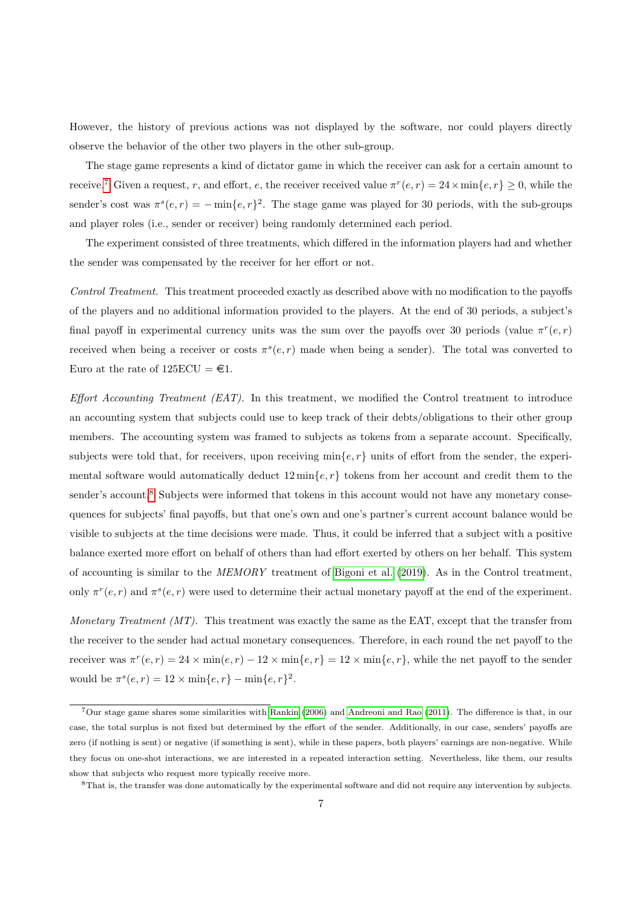However, the history of previous actions was not displayed by the software, nor could players directly observe the behavior of the other two players in the other sub-group.

The stage game represents a kind of dictator game in which the receiver can ask for a certain amount to receive.<sup>[7](#page-6-0)</sup> Given a request, r, and effort, e, the receiver received value  $\pi^r(e,r) = 24 \times \min\{e,r\} \ge 0$ , while the sender's cost was  $\pi^{s}(e,r) = -\min\{e,r\}^2$ . The stage game was played for 30 periods, with the sub-groups and player roles (i.e., sender or receiver) being randomly determined each period.

The experiment consisted of three treatments, which differed in the information players had and whether the sender was compensated by the receiver for her effort or not.

Control Treatment. This treatment proceeded exactly as described above with no modification to the payoffs of the players and no additional information provided to the players. At the end of 30 periods, a subject's final payoff in experimental currency units was the sum over the payoffs over 30 periods (value  $\pi^r(e,r)$ ) received when being a receiver or costs  $\pi^{s}(e, r)$  made when being a sender). The total was converted to Euro at the rate of  $125ECU = \text{\textsterling}1$ .

Effort Accounting Treatment  $(EAT)$ . In this treatment, we modified the Control treatment to introduce an accounting system that subjects could use to keep track of their debts/obligations to their other group members. The accounting system was framed to subjects as tokens from a separate account. Specifically, subjects were told that, for receivers, upon receiving  $\min\{e, r\}$  units of effort from the sender, the experimental software would automatically deduct  $12 \min\{e, r\}$  tokens from her account and credit them to the sender's account.<sup>[8](#page-6-1)</sup> Subjects were informed that tokens in this account would not have any monetary consequences for subjects' final payoffs, but that one's own and one's partner's current account balance would be visible to subjects at the time decisions were made. Thus, it could be inferred that a subject with a positive balance exerted more effort on behalf of others than had effort exerted by others on her behalf. This system of accounting is similar to the MEMORY treatment of [Bigoni et al.](#page-22-7) [\(2019\)](#page-22-7). As in the Control treatment, only  $\pi^r(e,r)$  and  $\pi^s(e,r)$  were used to determine their actual monetary payoff at the end of the experiment.

Monetary Treatment  $(MT)$ . This treatment was exactly the same as the EAT, except that the transfer from the receiver to the sender had actual monetary consequences. Therefore, in each round the net payoff to the receiver was  $\pi^r(e,r) = 24 \times \min(e,r) - 12 \times \min\{e,r\} = 12 \times \min\{e,r\}$ , while the net payoff to the sender would be  $\pi^{s}(e, r) = 12 \times \min\{e, r\} - \min\{e, r\}^2$ .

<span id="page-6-0"></span><sup>7</sup>Our stage game shares some similarities with [Rankin](#page-23-3) [\(2006\)](#page-23-3) and [Andreoni and Rao](#page-22-14) [\(2011\)](#page-22-14). The difference is that, in our case, the total surplus is not fixed but determined by the effort of the sender. Additionally, in our case, senders' payoffs are zero (if nothing is sent) or negative (if something is sent), while in these papers, both players' earnings are non-negative. While they focus on one-shot interactions, we are interested in a repeated interaction setting. Nevertheless, like them, our results show that subjects who request more typically receive more.

<span id="page-6-1"></span><sup>8</sup>That is, the transfer was done automatically by the experimental software and did not require any intervention by subjects.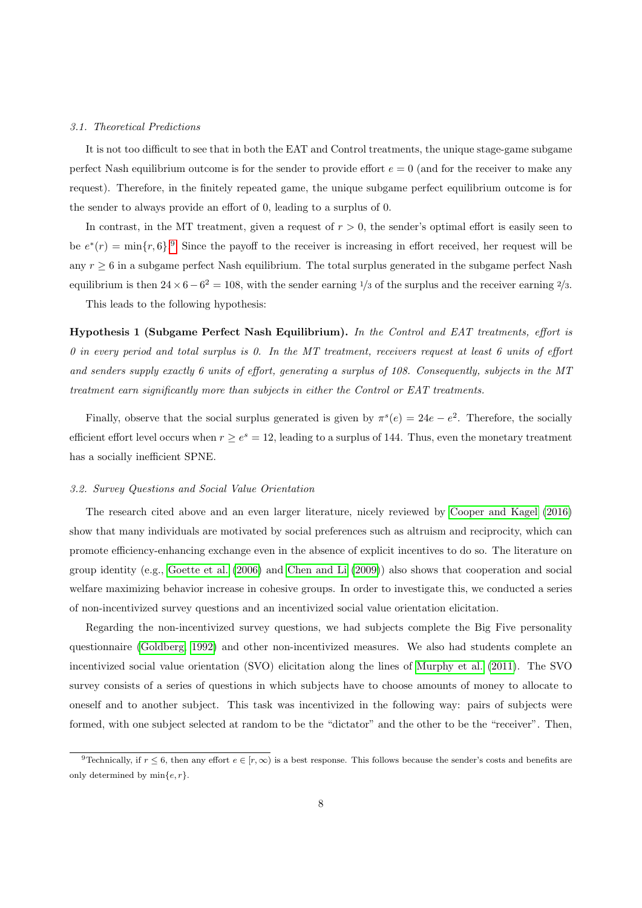#### 3.1. Theoretical Predictions

It is not too difficult to see that in both the EAT and Control treatments, the unique stage-game subgame perfect Nash equilibrium outcome is for the sender to provide effort  $e = 0$  (and for the receiver to make any request). Therefore, in the finitely repeated game, the unique subgame perfect equilibrium outcome is for the sender to always provide an effort of 0, leading to a surplus of 0.

In contrast, in the MT treatment, given a request of  $r > 0$ , the sender's optimal effort is easily seen to be  $e^*(r) = \min\{r, 6\}$ . Since the payoff to the receiver is increasing in effort received, her request will be any  $r \geq 6$  in a subgame perfect Nash equilibrium. The total surplus generated in the subgame perfect Nash equilibrium is then  $24 \times 6 - 6^2 = 108$ , with the sender earning <sup>1</sup>/3 of the surplus and the receiver earning <sup>2</sup>/3.

<span id="page-7-1"></span>This leads to the following hypothesis:

Hypothesis 1 (Subgame Perfect Nash Equilibrium). In the Control and EAT treatments, effort is 0 in every period and total surplus is 0. In the MT treatment, receivers request at least 6 units of effort and senders supply exactly 6 units of effort, generating a surplus of 108. Consequently, subjects in the MT treatment earn significantly more than subjects in either the Control or EAT treatments.

Finally, observe that the social surplus generated is given by  $\pi^{s}(e) = 24e - e^{2}$ . Therefore, the socially efficient effort level occurs when  $r \ge e^s = 12$ , leading to a surplus of 144. Thus, even the monetary treatment has a socially inefficient SPNE.

#### 3.2. Survey Questions and Social Value Orientation

The research cited above and an even larger literature, nicely reviewed by [Cooper and Kagel](#page-22-15) [\(2016\)](#page-22-15) show that many individuals are motivated by social preferences such as altruism and reciprocity, which can promote efficiency-enhancing exchange even in the absence of explicit incentives to do so. The literature on group identity (e.g., [Goette et al.](#page-22-16) [\(2006\)](#page-22-16) and [Chen and Li](#page-22-17) [\(2009\)](#page-22-17)) also shows that cooperation and social welfare maximizing behavior increase in cohesive groups. In order to investigate this, we conducted a series of non-incentivized survey questions and an incentivized social value orientation elicitation.

Regarding the non-incentivized survey questions, we had subjects complete the Big Five personality questionnaire [\(Goldberg, 1992\)](#page-22-18) and other non-incentivized measures. We also had students complete an incentivized social value orientation (SVO) elicitation along the lines of [Murphy et al.](#page-23-0) [\(2011\)](#page-23-0). The SVO survey consists of a series of questions in which subjects have to choose amounts of money to allocate to oneself and to another subject. This task was incentivized in the following way: pairs of subjects were formed, with one subject selected at random to be the "dictator" and the other to be the "receiver". Then,

<span id="page-7-0"></span><sup>&</sup>lt;sup>9</sup>Technically, if  $r \leq 6$ , then any effort  $e \in [r,\infty)$  is a best response. This follows because the sender's costs and benefits are only determined by  $\min\{e, r\}.$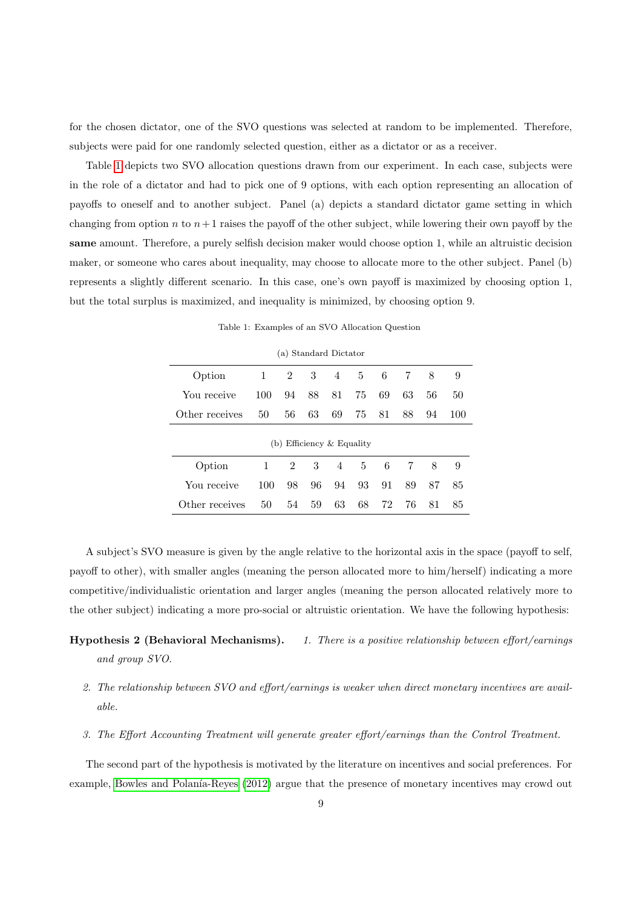for the chosen dictator, one of the SVO questions was selected at random to be implemented. Therefore, subjects were paid for one randomly selected question, either as a dictator or as a receiver.

Table [1](#page-8-0) depicts two SVO allocation questions drawn from our experiment. In each case, subjects were in the role of a dictator and had to pick one of 9 options, with each option representing an allocation of payoffs to oneself and to another subject. Panel (a) depicts a standard dictator game setting in which changing from option n to  $n+1$  raises the payoff of the other subject, while lowering their own payoff by the same amount. Therefore, a purely selfish decision maker would choose option 1, while an altruistic decision maker, or someone who cares about inequality, may choose to allocate more to the other subject. Panel (b) represents a slightly different scenario. In this case, one's own payoff is maximized by choosing option 1, but the total surplus is maximized, and inequality is minimized, by choosing option 9.

<span id="page-8-0"></span>

| Option                      | 1   | $\overline{2}$ | 3  | $\overline{4}$ | $5 -$ | 6  | 7  | 8  | 9   |
|-----------------------------|-----|----------------|----|----------------|-------|----|----|----|-----|
| You receive                 | 100 | 94             | 88 | 81             | 75    | 69 | 63 | 56 | 50  |
| Other receives              | 50  | 56             | 63 | 69             | 75    | 81 | 88 | 94 | 100 |
| (b) Efficiency $&$ Equality |     |                |    |                |       |    |    |    |     |
| Option                      | 1   | $\overline{2}$ | 3  | 4              | 5     | -6 | 7  | 8  | 9   |
| You receive                 | 100 | 98             | 96 | 94             | 93    | 91 | 89 | 87 | 85  |
| Other receives              | 50  | 54             | 59 | 63             | 68    | 72 | 76 | 81 | 85  |

Table 1: Examples of an SVO Allocation Question

(a) Standard Dictator

A subject's SVO measure is given by the angle relative to the horizontal axis in the space (payoff to self, payoff to other), with smaller angles (meaning the person allocated more to him/herself) indicating a more competitive/individualistic orientation and larger angles (meaning the person allocated relatively more to the other subject) indicating a more pro-social or altruistic orientation. We have the following hypothesis:

## Hypothesis 2 (Behavioral Mechanisms). 1. There is a positive relationship between effort/earnings and group SVO.

- 2. The relationship between SVO and effort/earnings is weaker when direct monetary incentives are available.
- 3. The Effort Accounting Treatment will generate greater effort/earnings than the Control Treatment.

The second part of the hypothesis is motivated by the literature on incentives and social preferences. For example, Bowles and Polanía-Reyes [\(2012\)](#page-22-19) argue that the presence of monetary incentives may crowd out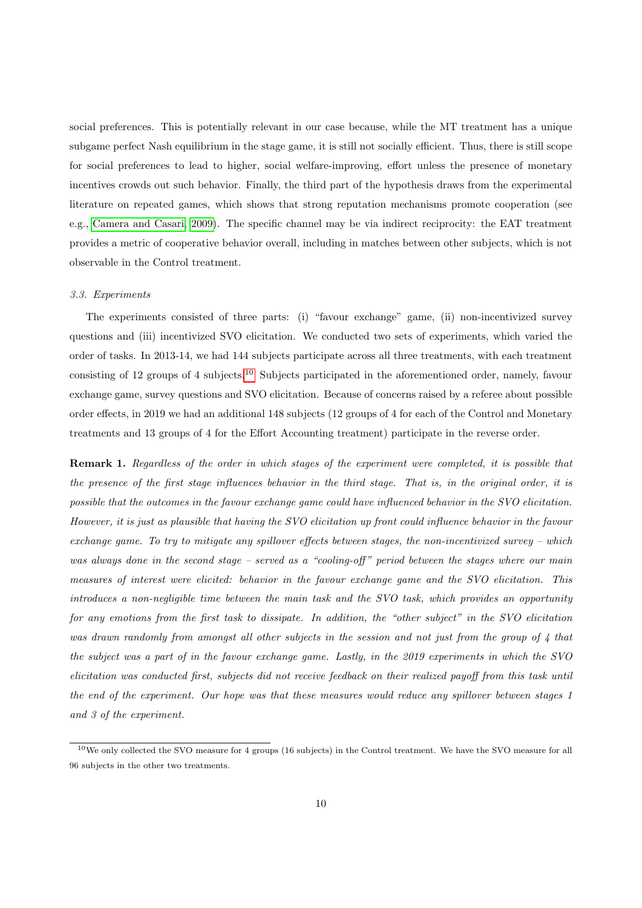social preferences. This is potentially relevant in our case because, while the MT treatment has a unique subgame perfect Nash equilibrium in the stage game, it is still not socially efficient. Thus, there is still scope for social preferences to lead to higher, social welfare-improving, effort unless the presence of monetary incentives crowds out such behavior. Finally, the third part of the hypothesis draws from the experimental literature on repeated games, which shows that strong reputation mechanisms promote cooperation (see e.g., [Camera and Casari, 2009\)](#page-22-3). The specific channel may be via indirect reciprocity: the EAT treatment provides a metric of cooperative behavior overall, including in matches between other subjects, which is not observable in the Control treatment.

#### 3.3. Experiments

The experiments consisted of three parts: (i) "favour exchange" game, (ii) non-incentivized survey questions and (iii) incentivized SVO elicitation. We conducted two sets of experiments, which varied the order of tasks. In 2013-14, we had 144 subjects participate across all three treatments, with each treatment consisting of 12 groups of 4 subjects.[10](#page-9-0) Subjects participated in the aforementioned order, namely, favour exchange game, survey questions and SVO elicitation. Because of concerns raised by a referee about possible order effects, in 2019 we had an additional 148 subjects (12 groups of 4 for each of the Control and Monetary treatments and 13 groups of 4 for the Effort Accounting treatment) participate in the reverse order.

Remark 1. Regardless of the order in which stages of the experiment were completed, it is possible that the presence of the first stage influences behavior in the third stage. That is, in the original order, it is possible that the outcomes in the favour exchange game could have influenced behavior in the SVO elicitation. However, it is just as plausible that having the SVO elicitation up front could influence behavior in the favour exchange game. To try to mitigate any spillover effects between stages, the non-incentivized survey – which was always done in the second stage – served as a "cooling-off" period between the stages where our main measures of interest were elicited: behavior in the favour exchange game and the SVO elicitation. This introduces a non-negligible time between the main task and the SVO task, which provides an opportunity for any emotions from the first task to dissipate. In addition, the "other subject" in the SVO elicitation was drawn randomly from amongst all other subjects in the session and not just from the group of 4 that the subject was a part of in the favour exchange game. Lastly, in the 2019 experiments in which the SVO elicitation was conducted first, subjects did not receive feedback on their realized payoff from this task until the end of the experiment. Our hope was that these measures would reduce any spillover between stages 1 and 3 of the experiment.

<span id="page-9-0"></span><sup>&</sup>lt;sup>10</sup>We only collected the SVO measure for 4 groups (16 subjects) in the Control treatment. We have the SVO measure for all 96 subjects in the other two treatments.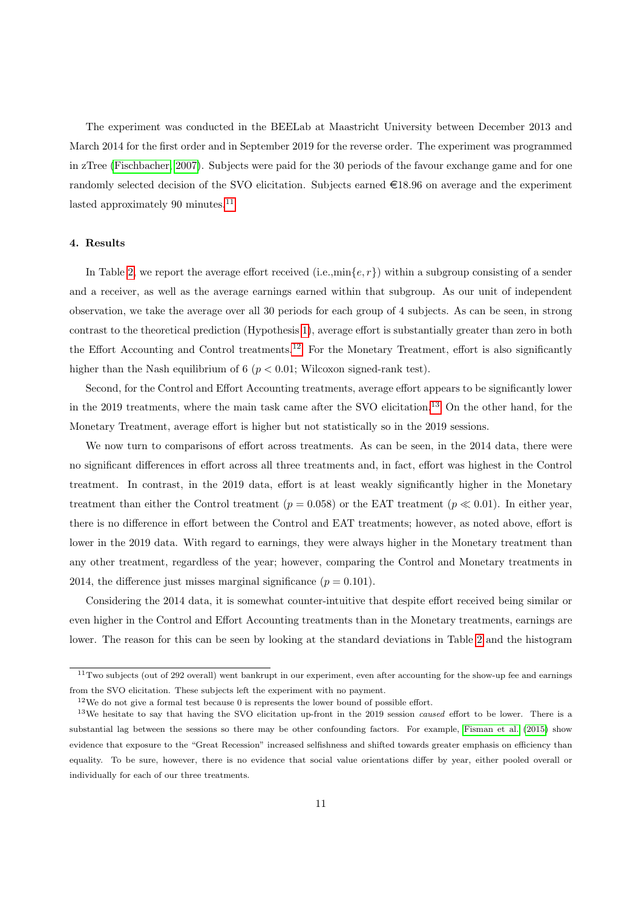The experiment was conducted in the BEELab at Maastricht University between December 2013 and March 2014 for the first order and in September 2019 for the reverse order. The experiment was programmed in zTree [\(Fischbacher, 2007\)](#page-22-20). Subjects were paid for the 30 periods of the favour exchange game and for one randomly selected decision of the SVO elicitation. Subjects earned  $\in$ 18.96 on average and the experiment lasted approximately 90 minutes.<sup>[11](#page-10-1)</sup>

## <span id="page-10-0"></span>4. Results

In Table [2,](#page-11-0) we report the average effort received (i.e.,min $\{e, r\}$ ) within a subgroup consisting of a sender and a receiver, as well as the average earnings earned within that subgroup. As our unit of independent observation, we take the average over all 30 periods for each group of 4 subjects. As can be seen, in strong contrast to the theoretical prediction (Hypothesis [1\)](#page-7-1), average effort is substantially greater than zero in both the Effort Accounting and Control treatments.[12](#page-10-2) For the Monetary Treatment, effort is also significantly higher than the Nash equilibrium of 6 ( $p < 0.01$ ; Wilcoxon signed-rank test).

Second, for the Control and Effort Accounting treatments, average effort appears to be significantly lower in the 2019 treatments, where the main task came after the SVO elicitation.[13](#page-10-3) On the other hand, for the Monetary Treatment, average effort is higher but not statistically so in the 2019 sessions.

We now turn to comparisons of effort across treatments. As can be seen, in the 2014 data, there were no significant differences in effort across all three treatments and, in fact, effort was highest in the Control treatment. In contrast, in the 2019 data, effort is at least weakly significantly higher in the Monetary treatment than either the Control treatment ( $p = 0.058$ ) or the EAT treatment ( $p \ll 0.01$ ). In either year, there is no difference in effort between the Control and EAT treatments; however, as noted above, effort is lower in the 2019 data. With regard to earnings, they were always higher in the Monetary treatment than any other treatment, regardless of the year; however, comparing the Control and Monetary treatments in 2014, the difference just misses marginal significance  $(p = 0.101)$ .

Considering the 2014 data, it is somewhat counter-intuitive that despite effort received being similar or even higher in the Control and Effort Accounting treatments than in the Monetary treatments, earnings are lower. The reason for this can be seen by looking at the standard deviations in Table [2](#page-11-0) and the histogram

<span id="page-10-1"></span> $11$ Two subjects (out of 292 overall) went bankrupt in our experiment, even after accounting for the show-up fee and earnings from the SVO elicitation. These subjects left the experiment with no payment.

<span id="page-10-3"></span><span id="page-10-2"></span> $12$ We do not give a formal test because 0 is represents the lower bound of possible effort.

<sup>&</sup>lt;sup>13</sup>We hesitate to say that having the SVO elicitation up-front in the 2019 session *caused* effort to be lower. There is a substantial lag between the sessions so there may be other confounding factors. For example, [Fisman et al.](#page-22-21) [\(2015\)](#page-22-21) show evidence that exposure to the "Great Recession" increased selfishness and shifted towards greater emphasis on efficiency than equality. To be sure, however, there is no evidence that social value orientations differ by year, either pooled overall or individually for each of our three treatments.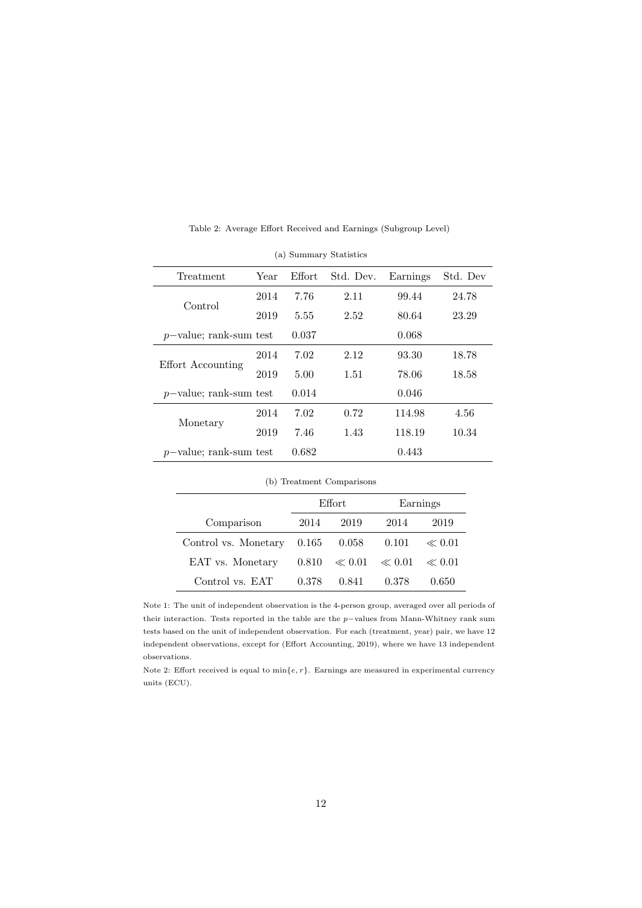<span id="page-11-0"></span>

| Treatment                 | Year | Effort | Std. Dev. | Earnings | Std. Dev |
|---------------------------|------|--------|-----------|----------|----------|
| Control                   | 2014 | 7.76   | 2.11      | 99.44    | 24.78    |
|                           | 2019 | 5.55   | 2.52      | 80.64    | 23.29    |
| $p$ -value; rank-sum test |      | 0.037  |           | 0.068    |          |
| Effort Accounting         | 2014 | 7.02   | 2.12      | 93.30    | 18.78    |
|                           | 2019 | 5.00   | 1.51      | 78.06    | 18.58    |
| $p$ -value; rank-sum test |      | 0.014  |           | 0.046    |          |
|                           | 2014 | 7.02   | 0.72      | 114.98   | 4.56     |
| Monetary                  | 2019 | 7.46   | 1.43      | 118.19   | 10.34    |
| $p$ -value; rank-sum test |      | 0.682  |           | 0.443    |          |

Table 2: Average Effort Received and Earnings (Subgroup Level)

| Control                   |      |       |      |        |       |  |
|---------------------------|------|-------|------|--------|-------|--|
|                           | 2019 | 5.55  | 2.52 | 80.64  | 23.29 |  |
| $p$ -value; rank-sum test |      | 0.037 |      | 0.068  |       |  |
|                           | 2014 | 7.02  | 2.12 | 93.30  | 18.78 |  |
| Effort Accounting         | 2019 | 5.00  | 1.51 | 78.06  | 18.58 |  |
| $p$ -value; rank-sum test |      | 0.014 |      | 0.046  |       |  |
|                           | 2014 | 7.02  | 0.72 | 114.98 | 4.56  |  |
| Monetary                  | 2019 | 7.46  | 1.43 | 118.19 | 10.34 |  |
| $p$ -value; rank-sum test |      | 0.682 |      | 0.443  |       |  |
| (b) Treatment Comparisons |      |       |      |        |       |  |
|                           |      |       |      |        |       |  |

(a) Summary Statistics

|                              | Effort |                           | Earnings |            |
|------------------------------|--------|---------------------------|----------|------------|
| Comparison                   | 2014   | 2019                      | 2014     | 2019       |
| Control vs. Monetary $0.165$ |        | 0.058                     | 0.101    | $\ll 0.01$ |
| EAT vs. Monetary             |        | $0.810 \le 0.01 \le 0.01$ |          | $\ll 0.01$ |
| Control vs. EAT              | 0.378  | 0.841                     | 0.378    | 0.650      |

Note 1: The unit of independent observation is the 4-person group, averaged over all periods of their interaction. Tests reported in the table are the p−values from Mann-Whitney rank sum tests based on the unit of independent observation. For each (treatment, year) pair, we have 12 independent observations, except for (Effort Accounting, 2019), where we have 13 independent observations.

Note 2: Effort received is equal to  $\min\{e, r\}$ . Earnings are measured in experimental currency units (ECU).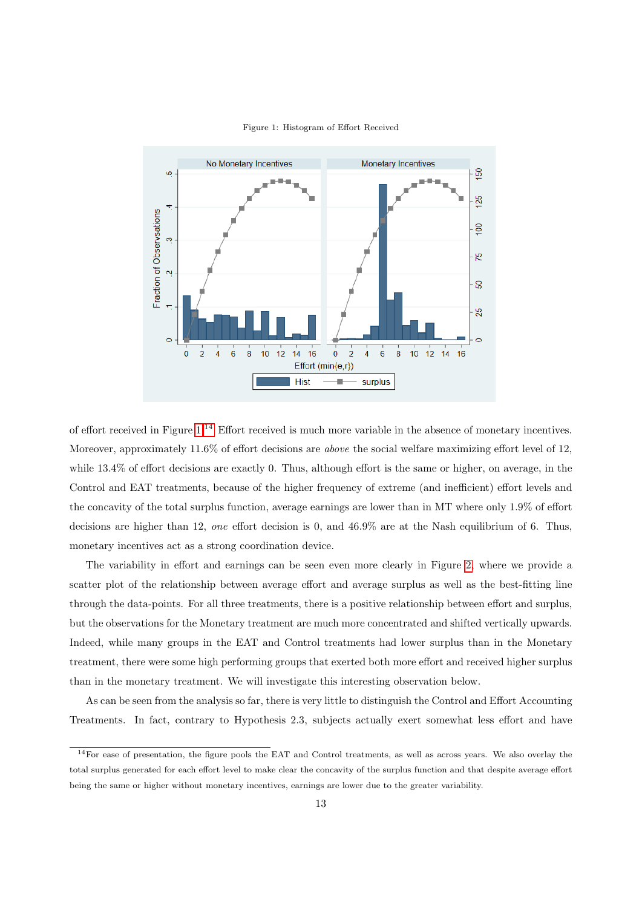<span id="page-12-0"></span>

#### Figure 1: Histogram of Effort Received

of effort received in Figure [1.](#page-12-0)[14](#page-12-1) Effort received is much more variable in the absence of monetary incentives. Moreover, approximately 11.6% of effort decisions are above the social welfare maximizing effort level of 12, while 13.4% of effort decisions are exactly 0. Thus, although effort is the same or higher, on average, in the Control and EAT treatments, because of the higher frequency of extreme (and inefficient) effort levels and the concavity of the total surplus function, average earnings are lower than in MT where only 1.9% of effort decisions are higher than 12, one effort decision is 0, and 46.9% are at the Nash equilibrium of 6. Thus, monetary incentives act as a strong coordination device.

The variability in effort and earnings can be seen even more clearly in Figure [2,](#page-13-0) where we provide a scatter plot of the relationship between average effort and average surplus as well as the best-fitting line through the data-points. For all three treatments, there is a positive relationship between effort and surplus, but the observations for the Monetary treatment are much more concentrated and shifted vertically upwards. Indeed, while many groups in the EAT and Control treatments had lower surplus than in the Monetary treatment, there were some high performing groups that exerted both more effort and received higher surplus than in the monetary treatment. We will investigate this interesting observation below.

As can be seen from the analysis so far, there is very little to distinguish the Control and Effort Accounting Treatments. In fact, contrary to Hypothesis 2.3, subjects actually exert somewhat less effort and have

<span id="page-12-1"></span> $14$ For ease of presentation, the figure pools the EAT and Control treatments, as well as across years. We also overlay the total surplus generated for each effort level to make clear the concavity of the surplus function and that despite average effort being the same or higher without monetary incentives, earnings are lower due to the greater variability.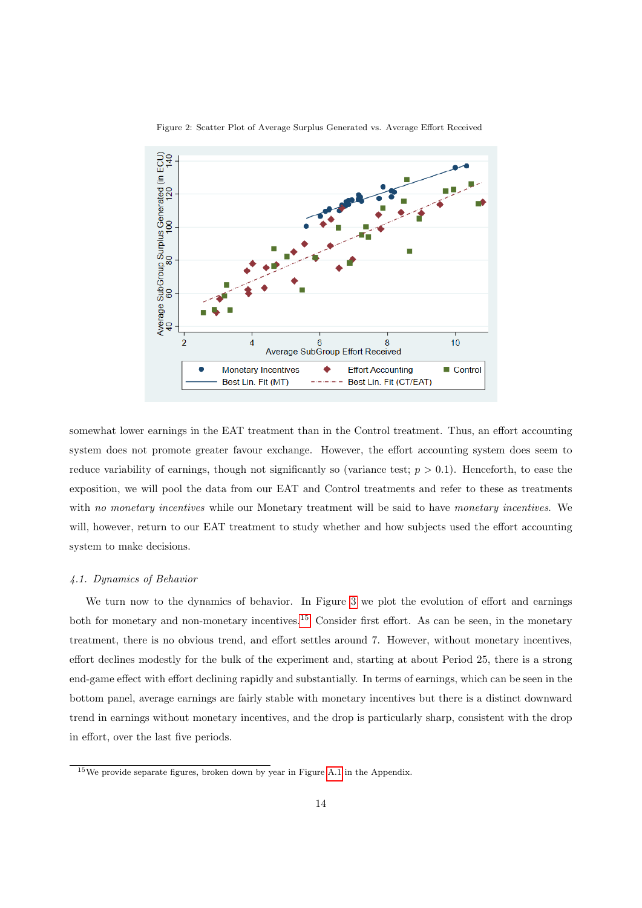<span id="page-13-0"></span>

Figure 2: Scatter Plot of Average Surplus Generated vs. Average Effort Received

somewhat lower earnings in the EAT treatment than in the Control treatment. Thus, an effort accounting system does not promote greater favour exchange. However, the effort accounting system does seem to reduce variability of earnings, though not significantly so (variance test;  $p > 0.1$ ). Henceforth, to ease the exposition, we will pool the data from our EAT and Control treatments and refer to these as treatments with no monetary incentives while our Monetary treatment will be said to have monetary incentives. We will, however, return to our EAT treatment to study whether and how subjects used the effort accounting system to make decisions.

#### 4.1. Dynamics of Behavior

We turn now to the dynamics of behavior. In Figure [3](#page-14-0) we plot the evolution of effort and earnings both for monetary and non-monetary incentives.[15](#page-13-1) Consider first effort. As can be seen, in the monetary treatment, there is no obvious trend, and effort settles around 7. However, without monetary incentives, effort declines modestly for the bulk of the experiment and, starting at about Period 25, there is a strong end-game effect with effort declining rapidly and substantially. In terms of earnings, which can be seen in the bottom panel, average earnings are fairly stable with monetary incentives but there is a distinct downward trend in earnings without monetary incentives, and the drop is particularly sharp, consistent with the drop in effort, over the last five periods.

<span id="page-13-1"></span><sup>15</sup>We provide separate figures, broken down by year in Figure [A.1](#page-24-0) in the Appendix.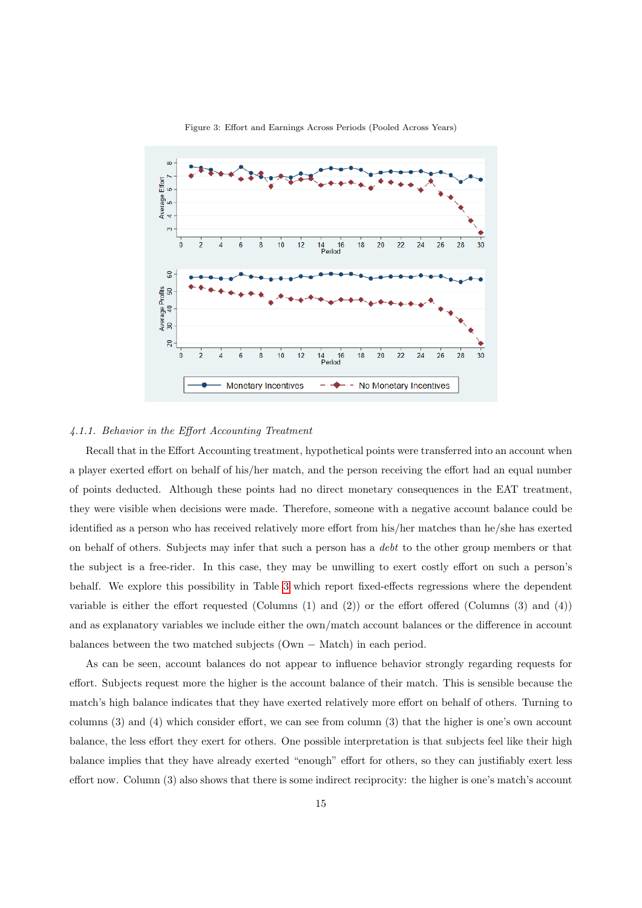<span id="page-14-0"></span>

Figure 3: Effort and Earnings Across Periods (Pooled Across Years)

## 4.1.1. Behavior in the Effort Accounting Treatment

Recall that in the Effort Accounting treatment, hypothetical points were transferred into an account when a player exerted effort on behalf of his/her match, and the person receiving the effort had an equal number of points deducted. Although these points had no direct monetary consequences in the EAT treatment, they were visible when decisions were made. Therefore, someone with a negative account balance could be identified as a person who has received relatively more effort from his/her matches than he/she has exerted on behalf of others. Subjects may infer that such a person has a debt to the other group members or that the subject is a free-rider. In this case, they may be unwilling to exert costly effort on such a person's behalf. We explore this possibility in Table [3](#page-15-0) which report fixed-effects regressions where the dependent variable is either the effort requested (Columns  $(1)$  and  $(2)$ ) or the effort offered (Columns  $(3)$  and  $(4)$ ) and as explanatory variables we include either the own/match account balances or the difference in account balances between the two matched subjects (Own − Match) in each period.

As can be seen, account balances do not appear to influence behavior strongly regarding requests for effort. Subjects request more the higher is the account balance of their match. This is sensible because the match's high balance indicates that they have exerted relatively more effort on behalf of others. Turning to columns (3) and (4) which consider effort, we can see from column (3) that the higher is one's own account balance, the less effort they exert for others. One possible interpretation is that subjects feel like their high balance implies that they have already exerted "enough" effort for others, so they can justifiably exert less effort now. Column (3) also shows that there is some indirect reciprocity: the higher is one's match's account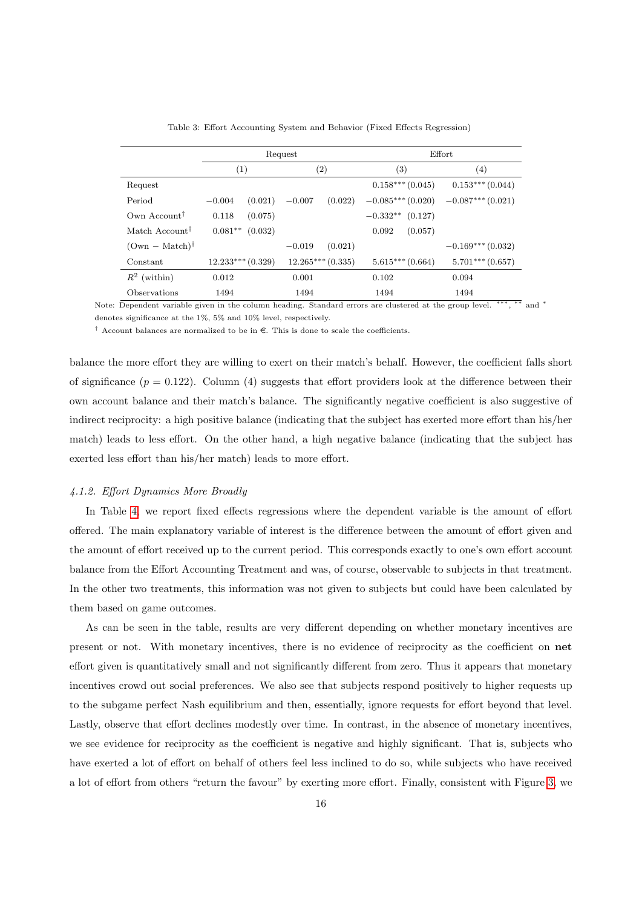<span id="page-15-0"></span>

|                            |                     | Request             | Effort                |                    |  |
|----------------------------|---------------------|---------------------|-----------------------|--------------------|--|
|                            | (1)                 | $\left( 2\right)$   | $\left( 3\right)$     | $\left( 4\right)$  |  |
| Request                    |                     |                     | $0.158***(0.045)$     | $0.153***(0.044)$  |  |
| Period                     | (0.021)<br>$-0.004$ | (0.022)<br>$-0.007$ | $-0.085***(0.020)$    | $-0.087***(0.021)$ |  |
| Own Account <sup>†</sup>   | 0.118<br>(0.075)    |                     | $-0.332**$<br>(0.127) |                    |  |
| Match Account <sup>†</sup> | $0.081**$ (0.032)   |                     | 0.092<br>(0.057)      |                    |  |
| $(0wn - Match)^{\dagger}$  |                     | (0.021)<br>$-0.019$ |                       | $-0.169***(0.032)$ |  |
| Constant                   | $12.233***(0.329)$  | $12.265***(0.335)$  | $5.615***(0.664)$     | $5.701***$ (0.657) |  |
| $R^2$ (within)             | 0.012               | 0.001               | 0.102                 | 0.094              |  |
| Observations               | 1494                | 1494                | 1494                  | 1494               |  |

Table 3: Effort Accounting System and Behavior (Fixed Effects Regression)

Note: Dependent variable given in the column heading. Standard errors are clustered at the group level. \*\*\*, \*\* and \* denotes significance at the 1%, 5% and 10% level, respectively.

<sup>†</sup> Account balances are normalized to be in  $\epsilon$ . This is done to scale the coefficients.

balance the more effort they are willing to exert on their match's behalf. However, the coefficient falls short of significance  $(p = 0.122)$ . Column (4) suggests that effort providers look at the difference between their own account balance and their match's balance. The significantly negative coefficient is also suggestive of indirect reciprocity: a high positive balance (indicating that the subject has exerted more effort than his/her match) leads to less effort. On the other hand, a high negative balance (indicating that the subject has exerted less effort than his/her match) leads to more effort.

#### 4.1.2. Effort Dynamics More Broadly

In Table [4,](#page-16-0) we report fixed effects regressions where the dependent variable is the amount of effort offered. The main explanatory variable of interest is the difference between the amount of effort given and the amount of effort received up to the current period. This corresponds exactly to one's own effort account balance from the Effort Accounting Treatment and was, of course, observable to subjects in that treatment. In the other two treatments, this information was not given to subjects but could have been calculated by them based on game outcomes.

As can be seen in the table, results are very different depending on whether monetary incentives are present or not. With monetary incentives, there is no evidence of reciprocity as the coefficient on net effort given is quantitatively small and not significantly different from zero. Thus it appears that monetary incentives crowd out social preferences. We also see that subjects respond positively to higher requests up to the subgame perfect Nash equilibrium and then, essentially, ignore requests for effort beyond that level. Lastly, observe that effort declines modestly over time. In contrast, in the absence of monetary incentives, we see evidence for reciprocity as the coefficient is negative and highly significant. That is, subjects who have exerted a lot of effort on behalf of others feel less inclined to do so, while subjects who have received a lot of effort from others "return the favour" by exerting more effort. Finally, consistent with Figure [3,](#page-14-0) we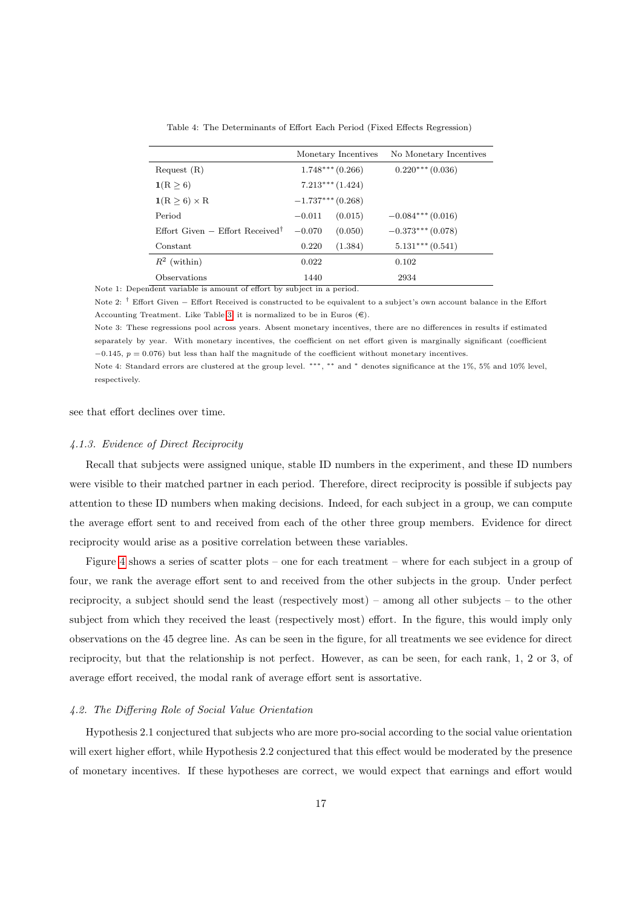<span id="page-16-0"></span>

|                                               | Monetary Incentives |         | No Monetary Incentives |
|-----------------------------------------------|---------------------|---------|------------------------|
| Request(R)                                    | $1.748***(0.266)$   |         | $0.220***(0.036)$      |
| 1(R > 6)                                      | $7.213***(1.424)$   |         |                        |
| $1(R \geq 6) \times R$                        | $-1.737***(0.268)$  |         |                        |
| Period                                        | $-0.011$            | (0.015) | $-0.084***(0.016)$     |
| Effort Given $-$ Effort Received <sup>†</sup> | $-0.070$            | (0.050) | $-0.373***(0.078)$     |
| Constant                                      | 0.220               | (1.384) | $5.131***(0.541)$      |
| $R^2$ (within)                                | 0.022               |         | 0.102                  |
| Observations                                  | 1440                |         | 2934                   |

Table 4: The Determinants of Effort Each Period (Fixed Effects Regression)

Note 1: Dependent variable is amount of effort by subject in a period.

Note 2: † Effort Given − Effort Received is constructed to be equivalent to a subject's own account balance in the Effort Accounting Treatment. Like Table [3,](#page-15-0) it is normalized to be in Euros  $(\epsilon)$ .

Note 3: These regressions pool across years. Absent monetary incentives, there are no differences in results if estimated separately by year. With monetary incentives, the coefficient on net effort given is marginally significant (coefficient  $-0.145$ ,  $p = 0.076$ ) but less than half the magnitude of the coefficient without monetary incentives.

Note 4: Standard errors are clustered at the group level. ∗∗∗ , ∗∗ and <sup>∗</sup> denotes significance at the 1%, 5% and 10% level, respectively.

see that effort declines over time.

#### 4.1.3. Evidence of Direct Reciprocity

Recall that subjects were assigned unique, stable ID numbers in the experiment, and these ID numbers were visible to their matched partner in each period. Therefore, direct reciprocity is possible if subjects pay attention to these ID numbers when making decisions. Indeed, for each subject in a group, we can compute the average effort sent to and received from each of the other three group members. Evidence for direct reciprocity would arise as a positive correlation between these variables.

Figure [4](#page-17-0) shows a series of scatter plots – one for each treatment – where for each subject in a group of four, we rank the average effort sent to and received from the other subjects in the group. Under perfect reciprocity, a subject should send the least (respectively most) – among all other subjects – to the other subject from which they received the least (respectively most) effort. In the figure, this would imply only observations on the 45 degree line. As can be seen in the figure, for all treatments we see evidence for direct reciprocity, but that the relationship is not perfect. However, as can be seen, for each rank, 1, 2 or 3, of average effort received, the modal rank of average effort sent is assortative.

#### 4.2. The Differing Role of Social Value Orientation

Hypothesis 2.1 conjectured that subjects who are more pro-social according to the social value orientation will exert higher effort, while Hypothesis 2.2 conjectured that this effect would be moderated by the presence of monetary incentives. If these hypotheses are correct, we would expect that earnings and effort would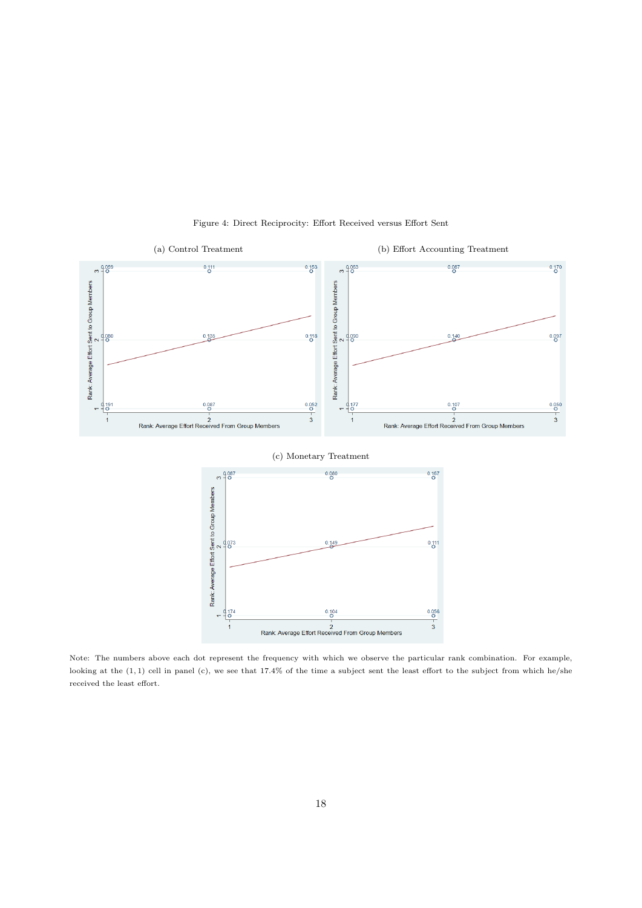

Figure 4: Direct Reciprocity: Effort Received versus Effort Sent

<span id="page-17-0"></span>Note: The numbers above each dot represent the frequency with which we observe the particular rank combination. For example, looking at the  $(1, 1)$  cell in panel  $(c)$ , we see that 17.4% of the time a subject sent the least effort to the subject from which he/she received the least effort.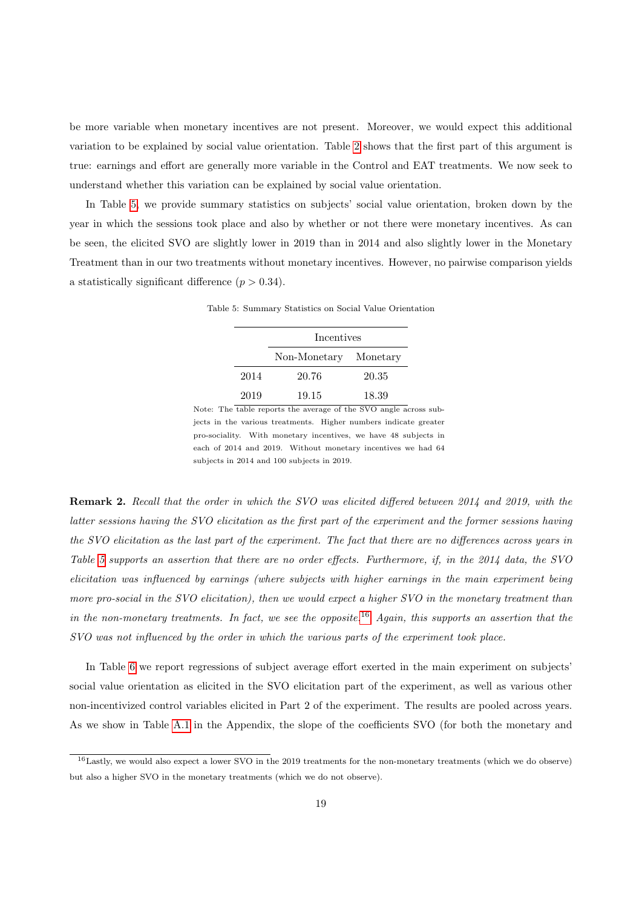be more variable when monetary incentives are not present. Moreover, we would expect this additional variation to be explained by social value orientation. Table [2](#page-11-0) shows that the first part of this argument is true: earnings and effort are generally more variable in the Control and EAT treatments. We now seek to understand whether this variation can be explained by social value orientation.

<span id="page-18-0"></span>In Table [5,](#page-18-0) we provide summary statistics on subjects' social value orientation, broken down by the year in which the sessions took place and also by whether or not there were monetary incentives. As can be seen, the elicited SVO are slightly lower in 2019 than in 2014 and also slightly lower in the Monetary Treatment than in our two treatments without monetary incentives. However, no pairwise comparison yields a statistically significant difference  $(p > 0.34)$ .

|      | Incentives            |       |  |  |  |
|------|-----------------------|-------|--|--|--|
|      | Non-Monetary Monetary |       |  |  |  |
| 2014 | 20.76                 | 20.35 |  |  |  |
| 2019 | 19.15                 | 18.39 |  |  |  |

Table 5: Summary Statistics on Social Value Orientation

Note: The table reports the average of the SVO angle across subjects in the various treatments. Higher numbers indicate greater pro-sociality. With monetary incentives, we have 48 subjects in each of 2014 and 2019. Without monetary incentives we had 64 subjects in 2014 and 100 subjects in 2019.

Remark 2. Recall that the order in which the SVO was elicited differed between 2014 and 2019, with the latter sessions having the SVO elicitation as the first part of the experiment and the former sessions having the SVO elicitation as the last part of the experiment. The fact that there are no differences across years in Table [5](#page-18-0) supports an assertion that there are no order effects. Furthermore, if, in the 2014 data, the SVO elicitation was influenced by earnings (where subjects with higher earnings in the main experiment being more pro-social in the SVO elicitation), then we would expect a higher SVO in the monetary treatment than in the non-monetary treatments. In fact, we see the opposite.<sup>[16](#page-18-1)</sup> Again, this supports an assertion that the SVO was not influenced by the order in which the various parts of the experiment took place.

In Table [6](#page-19-0) we report regressions of subject average effort exerted in the main experiment on subjects' social value orientation as elicited in the SVO elicitation part of the experiment, as well as various other non-incentivized control variables elicited in Part 2 of the experiment. The results are pooled across years. As we show in Table [A.1](#page-23-4) in the Appendix, the slope of the coefficients SVO (for both the monetary and

<span id="page-18-1"></span><sup>&</sup>lt;sup>16</sup>Lastly, we would also expect a lower SVO in the 2019 treatments for the non-monetary treatments (which we do observe) but also a higher SVO in the monetary treatments (which we do not observe).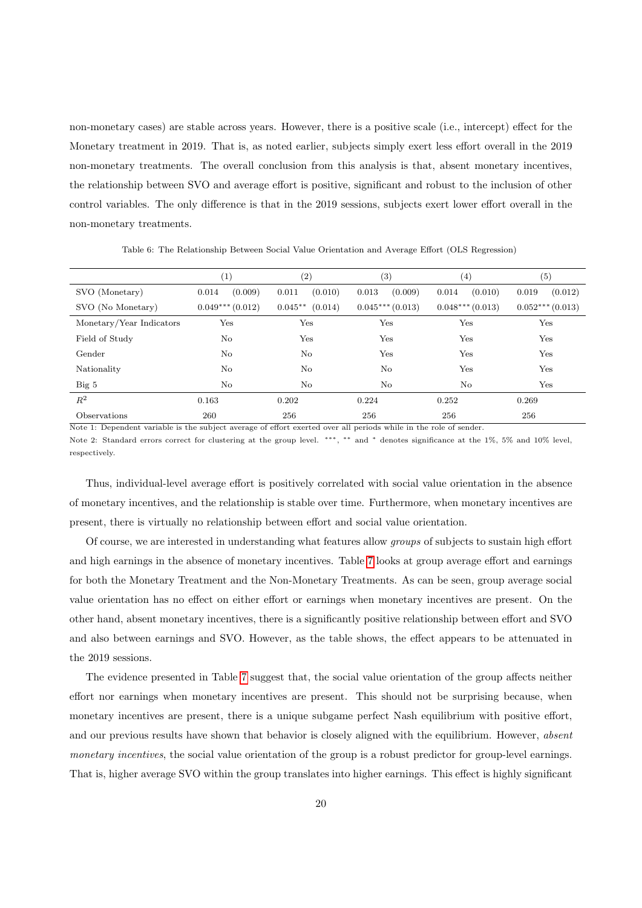non-monetary cases) are stable across years. However, there is a positive scale (i.e., intercept) effect for the Monetary treatment in 2019. That is, as noted earlier, subjects simply exert less effort overall in the 2019 non-monetary treatments. The overall conclusion from this analysis is that, absent monetary incentives, the relationship between SVO and average effort is positive, significant and robust to the inclusion of other control variables. The only difference is that in the 2019 sessions, subjects exert lower effort overall in the non-monetary treatments.

<span id="page-19-0"></span>(1)  $(2)$   $(3)$   $(4)$   $(5)$ SVO (Monetary) 0.014 (0.009) 0.011 (0.010) 0.013 (0.009) 0.014 (0.010) 0.019 (0.012) SVO (No Monetary) 0.049<sup>∗∗</sup>\* (0.012) 0.045<sup>∗∗</sup> (0.014) 0.045<sup>∗∗∗</sup> (0.013) 0.048<sup>∗∗∗</sup> (0.013) 0.052<sup>∗∗∗</sup> (0.013) Monetary/Year Indicators Yes Yes Yes Yes Yes Field of Study No Yes Yes Yes Yes Gender No No Yes Yes Yes Nationality No No No No No Yes Yes Big 5 No No No No Yes  $R^2$  0.163 0.202 0.224 0.252 0.269 Observations 260 256 256 256 256

Table 6: The Relationship Between Social Value Orientation and Average Effort (OLS Regression)

Note 1: Dependent variable is the subject average of effort exerted over all periods while in the role of sender. Note 2: Standard errors correct for clustering at the group level. \*\*\*, \*\* and \* denotes significance at the 1%, 5% and 10% level, respectively.

Thus, individual-level average effort is positively correlated with social value orientation in the absence of monetary incentives, and the relationship is stable over time. Furthermore, when monetary incentives are present, there is virtually no relationship between effort and social value orientation.

Of course, we are interested in understanding what features allow groups of subjects to sustain high effort and high earnings in the absence of monetary incentives. Table [7](#page-20-0) looks at group average effort and earnings for both the Monetary Treatment and the Non-Monetary Treatments. As can be seen, group average social value orientation has no effect on either effort or earnings when monetary incentives are present. On the other hand, absent monetary incentives, there is a significantly positive relationship between effort and SVO and also between earnings and SVO. However, as the table shows, the effect appears to be attenuated in the 2019 sessions.

The evidence presented in Table [7](#page-20-0) suggest that, the social value orientation of the group affects neither effort nor earnings when monetary incentives are present. This should not be surprising because, when monetary incentives are present, there is a unique subgame perfect Nash equilibrium with positive effort, and our previous results have shown that behavior is closely aligned with the equilibrium. However, absent monetary incentives, the social value orientation of the group is a robust predictor for group-level earnings. That is, higher average SVO within the group translates into higher earnings. This effect is highly significant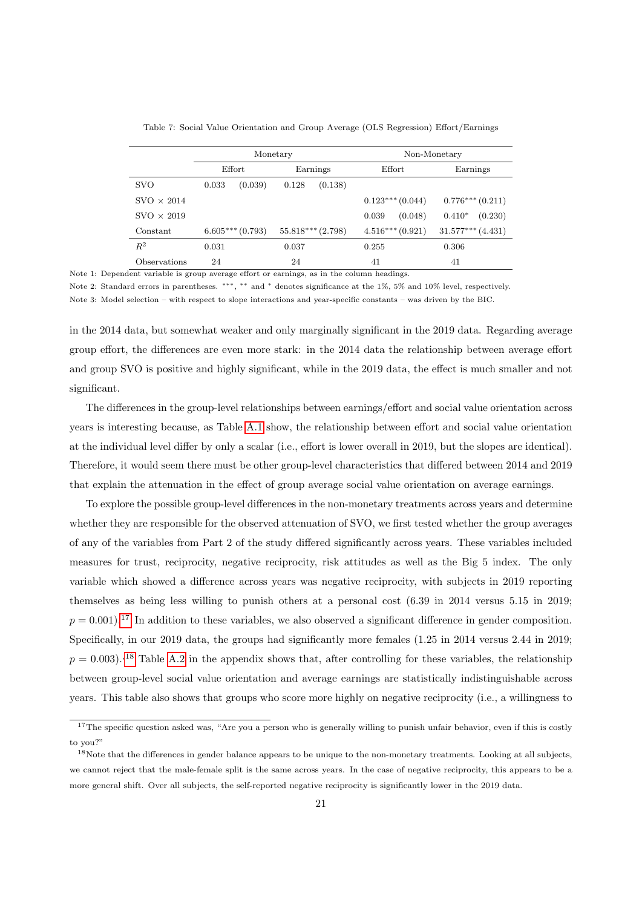<span id="page-20-0"></span>

|                   | Monetary |                   |          | Non-Monetary          |        |                   |                       |                   |
|-------------------|----------|-------------------|----------|-----------------------|--------|-------------------|-----------------------|-------------------|
|                   |          | Effort            | Earnings |                       | Effort |                   | Earnings              |                   |
| <b>SVO</b>        | 0.033    | (0.039)           | 0.128    | (0.138)               |        |                   |                       |                   |
| $SVO \times 2014$ |          |                   |          |                       |        | $0.123***(0.044)$ |                       | $0.776***(0.211)$ |
| $SVO \times 2019$ |          |                   |          |                       | 0.039  | (0.048)           | $0.410*$              | (0.230)           |
| Constant          |          | $6.605***(0.793)$ |          | $55.818***$ $(2.798)$ |        | $4.516***(0.921)$ | $31.577***$ $(4.431)$ |                   |
| $R^2$             | 0.031    |                   | 0.037    |                       | 0.255  |                   | 0.306                 |                   |
| Observations      | 24       |                   | 24       |                       | 41     |                   | 41                    |                   |

Table 7: Social Value Orientation and Group Average (OLS Regression) Effort/Earnings

Note 1: Dependent variable is group average effort or earnings, as in the column headings.

Note 2: Standard errors in parentheses. \*\*\*, \*\* and \* denotes significance at the 1%, 5% and 10% level, respectively. Note 3: Model selection – with respect to slope interactions and year-specific constants – was driven by the BIC.

in the 2014 data, but somewhat weaker and only marginally significant in the 2019 data. Regarding average group effort, the differences are even more stark: in the 2014 data the relationship between average effort and group SVO is positive and highly significant, while in the 2019 data, the effect is much smaller and not significant.

The differences in the group-level relationships between earnings/effort and social value orientation across years is interesting because, as Table [A.1](#page-23-4) show, the relationship between effort and social value orientation at the individual level differ by only a scalar (i.e., effort is lower overall in 2019, but the slopes are identical). Therefore, it would seem there must be other group-level characteristics that differed between 2014 and 2019 that explain the attenuation in the effect of group average social value orientation on average earnings.

To explore the possible group-level differences in the non-monetary treatments across years and determine whether they are responsible for the observed attenuation of SVO, we first tested whether the group averages of any of the variables from Part 2 of the study differed significantly across years. These variables included measures for trust, reciprocity, negative reciprocity, risk attitudes as well as the Big 5 index. The only variable which showed a difference across years was negative reciprocity, with subjects in 2019 reporting themselves as being less willing to punish others at a personal cost (6.39 in 2014 versus 5.15 in 2019;  $p = 0.001$ .<sup>[17](#page-20-1)</sup> In addition to these variables, we also observed a significant difference in gender composition. Specifically, in our 2019 data, the groups had significantly more females  $(1.25 \text{ in } 2014 \text{ versus } 2.44 \text{ in } 2019;$  $p = 0.003$ .<sup>[18](#page-20-2)</sup> Table [A.2](#page-25-0) in the appendix shows that, after controlling for these variables, the relationship between group-level social value orientation and average earnings are statistically indistinguishable across years. This table also shows that groups who score more highly on negative reciprocity (i.e., a willingness to

<span id="page-20-1"></span> $17$ The specific question asked was, "Are you a person who is generally willing to punish unfair behavior, even if this is costly to you?"

<span id="page-20-2"></span><sup>&</sup>lt;sup>18</sup>Note that the differences in gender balance appears to be unique to the non-monetary treatments. Looking at all subjects, we cannot reject that the male-female split is the same across years. In the case of negative reciprocity, this appears to be a more general shift. Over all subjects, the self-reported negative reciprocity is significantly lower in the 2019 data.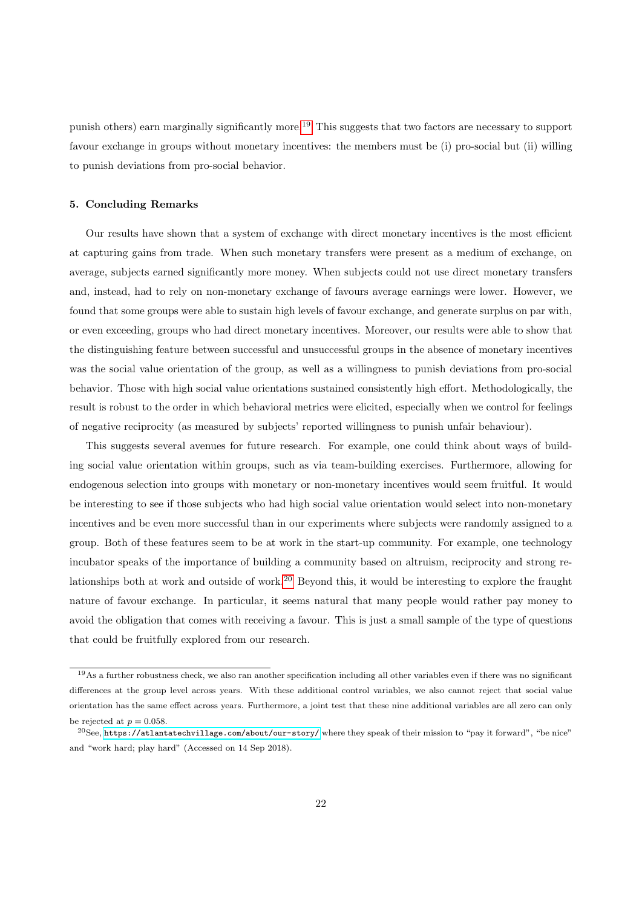punish others) earn marginally significantly more.[19](#page-21-1) This suggests that two factors are necessary to support favour exchange in groups without monetary incentives: the members must be (i) pro-social but (ii) willing to punish deviations from pro-social behavior.

#### <span id="page-21-0"></span>5. Concluding Remarks

Our results have shown that a system of exchange with direct monetary incentives is the most efficient at capturing gains from trade. When such monetary transfers were present as a medium of exchange, on average, subjects earned significantly more money. When subjects could not use direct monetary transfers and, instead, had to rely on non-monetary exchange of favours average earnings were lower. However, we found that some groups were able to sustain high levels of favour exchange, and generate surplus on par with, or even exceeding, groups who had direct monetary incentives. Moreover, our results were able to show that the distinguishing feature between successful and unsuccessful groups in the absence of monetary incentives was the social value orientation of the group, as well as a willingness to punish deviations from pro-social behavior. Those with high social value orientations sustained consistently high effort. Methodologically, the result is robust to the order in which behavioral metrics were elicited, especially when we control for feelings of negative reciprocity (as measured by subjects' reported willingness to punish unfair behaviour).

This suggests several avenues for future research. For example, one could think about ways of building social value orientation within groups, such as via team-building exercises. Furthermore, allowing for endogenous selection into groups with monetary or non-monetary incentives would seem fruitful. It would be interesting to see if those subjects who had high social value orientation would select into non-monetary incentives and be even more successful than in our experiments where subjects were randomly assigned to a group. Both of these features seem to be at work in the start-up community. For example, one technology incubator speaks of the importance of building a community based on altruism, reciprocity and strong relationships both at work and outside of work.[20](#page-21-2) Beyond this, it would be interesting to explore the fraught nature of favour exchange. In particular, it seems natural that many people would rather pay money to avoid the obligation that comes with receiving a favour. This is just a small sample of the type of questions that could be fruitfully explored from our research.

<span id="page-21-1"></span> $19$ As a further robustness check, we also ran another specification including all other variables even if there was no significant differences at the group level across years. With these additional control variables, we also cannot reject that social value orientation has the same effect across years. Furthermore, a joint test that these nine additional variables are all zero can only be rejected at  $p = 0.058$ .

<span id="page-21-2"></span> $^{20}$ See, <https://atlantatechvillage.com/about/our-story/> where they speak of their mission to "pay it forward", "be nice" and "work hard; play hard" (Accessed on 14 Sep 2018).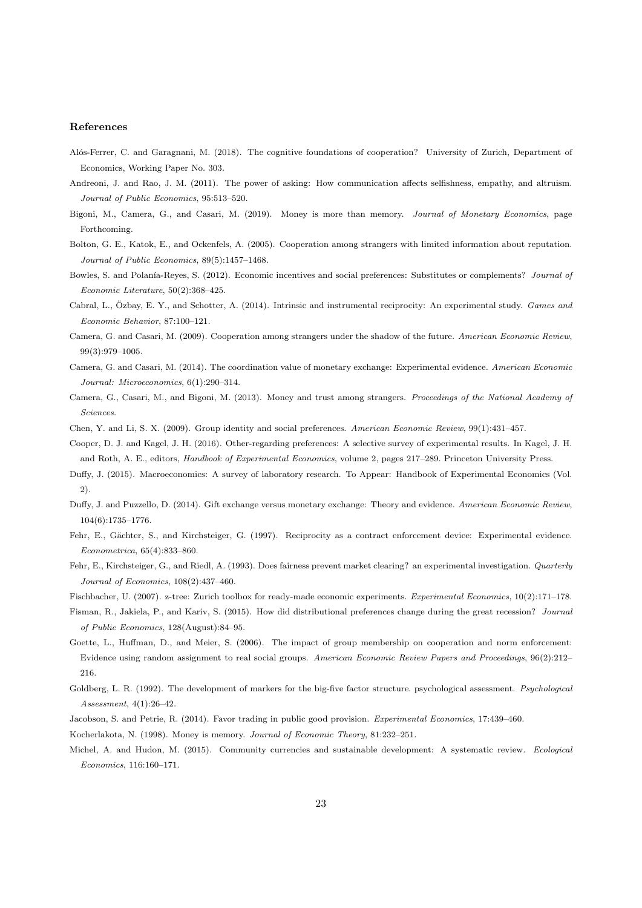#### References

- <span id="page-22-6"></span>Alós-Ferrer, C. and Garagnani, M. (2018). The cognitive foundations of cooperation? University of Zurich, Department of Economics, Working Paper No. 303.
- <span id="page-22-14"></span>Andreoni, J. and Rao, J. M. (2011). The power of asking: How communication affects selfishness, empathy, and altruism. Journal of Public Economics, 95:513–520.
- <span id="page-22-7"></span>Bigoni, M., Camera, G., and Casari, M. (2019). Money is more than memory. Journal of Monetary Economics, page Forthcoming.
- <span id="page-22-2"></span>Bolton, G. E., Katok, E., and Ockenfels, A. (2005). Cooperation among strangers with limited information about reputation. Journal of Public Economics, 89(5):1457–1468.
- <span id="page-22-19"></span>Bowles, S. and Polanía-Reyes, S. (2012). Economic incentives and social preferences: Substitutes or complements? Journal of Economic Literature, 50(2):368–425.
- <span id="page-22-9"></span>Cabral, L., Özbay, E. Y., and Schotter, A. (2014). Intrinsic and instrumental reciprocity: An experimental study. Games and Economic Behavior, 87:100–121.
- <span id="page-22-3"></span>Camera, G. and Casari, M. (2009). Cooperation among strangers under the shadow of the future. American Economic Review, 99(3):979–1005.
- <span id="page-22-12"></span>Camera, G. and Casari, M. (2014). The coordination value of monetary exchange: Experimental evidence. American Economic Journal: Microeconomics, 6(1):290–314.
- <span id="page-22-11"></span>Camera, G., Casari, M., and Bigoni, M. (2013). Money and trust among strangers. Proceedings of the National Academy of Sciences.
- <span id="page-22-17"></span><span id="page-22-15"></span>Chen, Y. and Li, S. X. (2009). Group identity and social preferences. American Economic Review, 99(1):431–457.
- Cooper, D. J. and Kagel, J. H. (2016). Other-regarding preferences: A selective survey of experimental results. In Kagel, J. H. and Roth, A. E., editors, Handbook of Experimental Economics, volume 2, pages 217–289. Princeton University Press.
- <span id="page-22-13"></span>Duffy, J. (2015). Macroeconomics: A survey of laboratory research. To Appear: Handbook of Experimental Economics (Vol. 2).
- <span id="page-22-10"></span>Duffy, J. and Puzzello, D. (2014). Gift exchange versus monetary exchange: Theory and evidence. American Economic Review, 104(6):1735–1776.
- <span id="page-22-5"></span>Fehr, E., Gächter, S., and Kirchsteiger, G. (1997). Reciprocity as a contract enforcement device: Experimental evidence. Econometrica, 65(4):833–860.
- <span id="page-22-4"></span>Fehr, E., Kirchsteiger, G., and Riedl, A. (1993). Does fairness prevent market clearing? an experimental investigation. Quarterly Journal of Economics, 108(2):437–460.
- <span id="page-22-21"></span><span id="page-22-20"></span>Fischbacher, U. (2007). z-tree: Zurich toolbox for ready-made economic experiments. Experimental Economics, 10(2):171–178.
- Fisman, R., Jakiela, P., and Kariv, S. (2015). How did distributional preferences change during the great recession? Journal of Public Economics, 128(August):84–95.
- <span id="page-22-16"></span>Goette, L., Huffman, D., and Meier, S. (2006). The impact of group membership on cooperation and norm enforcement: Evidence using random assignment to real social groups. American Economic Review Papers and Proceedings, 96(2):212– 216.
- <span id="page-22-18"></span>Goldberg, L. R. (1992). The development of markers for the big-five factor structure. psychological assessment. Psychological Assessment, 4(1):26–42.
- <span id="page-22-8"></span><span id="page-22-1"></span>Jacobson, S. and Petrie, R. (2014). Favor trading in public good provision. Experimental Economics, 17:439–460.
- <span id="page-22-0"></span>Kocherlakota, N. (1998). Money is memory. Journal of Economic Theory, 81:232–251.
- Michel, A. and Hudon, M. (2015). Community currencies and sustainable development: A systematic review. Ecological Economics, 116:160–171.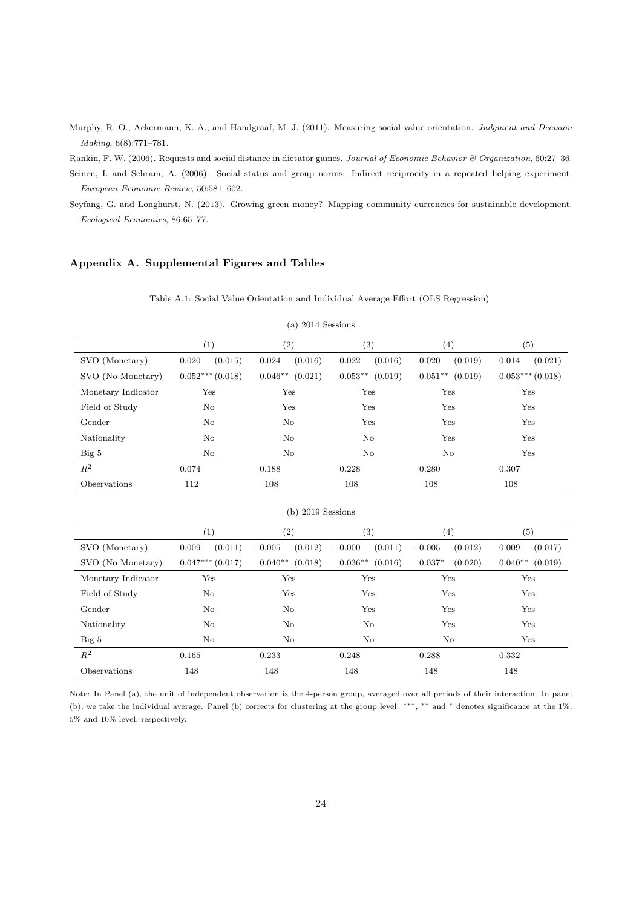<span id="page-23-0"></span>Murphy, R. O., Ackermann, K. A., and Handgraaf, M. J. (2011). Measuring social value orientation. Judgment and Decision Making, 6(8):771–781.

<span id="page-23-3"></span>Rankin, F. W. (2006). Requests and social distance in dictator games. Journal of Economic Behavior & Organization, 60:27–36.

<span id="page-23-1"></span>Seinen, I. and Schram, A. (2006). Social status and group norms: Indirect reciprocity in a repeated helping experiment. European Economic Review, 50:581–602.

<span id="page-23-2"></span>Seyfang, G. and Longhurst, N. (2013). Growing green money? Mapping community currencies for sustainable development. Ecological Economics, 86:65–77.

## <span id="page-23-4"></span>Appendix A. Supplemental Figures and Tables

|                     | (1)                  | (2)                 | (3)                   | (4)                  | (5)                  |  |
|---------------------|----------------------|---------------------|-----------------------|----------------------|----------------------|--|
| SVO (Monetary)      | (0.015)<br>$0.020\,$ | (0.016)<br>0.024    | (0.016)<br>0.022      | (0.019)<br>0.020     | 0.014<br>(0.021)     |  |
| SVO (No Monetary)   | $0.052***(0.018)$    | $0.046**$ $(0.021)$ | $0.053***$<br>(0.019) | $0.051***$ $(0.019)$ | $0.053***(0.018)$    |  |
| Monetary Indicator  | Yes                  | Yes                 | Yes                   | Yes                  | Yes                  |  |
| Field of Study      | No                   | Yes                 | Yes                   | Yes                  | Yes                  |  |
| Gender              | No                   | $\rm No$            | Yes                   | Yes                  | Yes                  |  |
| Nationality         | No                   | $\rm No$            | $\rm No$              | Yes                  | Yes                  |  |
| Big 5               | No                   | $\rm No$            | $\rm No$              | $\rm No$             | Yes                  |  |
| $\mathbb{R}^2$      | 0.074                | 0.188               | 0.228                 | 0.280                | 0.307                |  |
| Observations        | 112                  | 108                 | 108                   | 108                  | 108                  |  |
| $(b)$ 2019 Sessions |                      |                     |                       |                      |                      |  |
|                     | (1)                  | (2)                 | (3)                   | (4)                  | (5)                  |  |
| SVO (Monetary)      | (0.011)<br>0.009     | $-0.005$<br>(0.012) | (0.011)<br>$-0.000$   | (0.012)<br>$-0.005$  | 0.009<br>(0.017)     |  |
| SVO (No Monetary)   | $0.047***$ (0.017)   | $0.040**$ (0.018)   | $0.036**$<br>(0.016)  | $0.037*$<br>(0.020)  | (0.019)<br>$0.040**$ |  |
| Monetary Indicator  | Yes                  | Yes                 | Yes                   | Yes                  | Yes                  |  |
| Field of Study      | No                   | Yes                 | Yes                   | Yes                  | Yes                  |  |
| Gender              | No                   | $\rm No$            | Yes                   | Yes                  | Yes                  |  |
| Nationality         | $\rm No$             | $\rm No$            | N <sub>o</sub>        | Yes                  | Yes                  |  |
| Big 5               | No                   | $\rm No$            | No                    | $\rm No$             | Yes                  |  |
| $\mathbb{R}^2$      | 0.165                | 0.233               | 0.248                 | 0.288                | 0.332                |  |
| Observations        | 148                  | 148                 | 148                   | 148                  | 148                  |  |

Table A.1: Social Value Orientation and Individual Average Effort (OLS Regression)

(a) 2014 Sessions

Note: In Panel (a), the unit of independent observation is the 4-person group, averaged over all periods of their interaction. In panel (b), we take the individual average. Panel (b) corrects for clustering at the group level. ∗∗∗ , ∗∗ and <sup>∗</sup> denotes significance at the 1%, 5% and 10% level, respectively.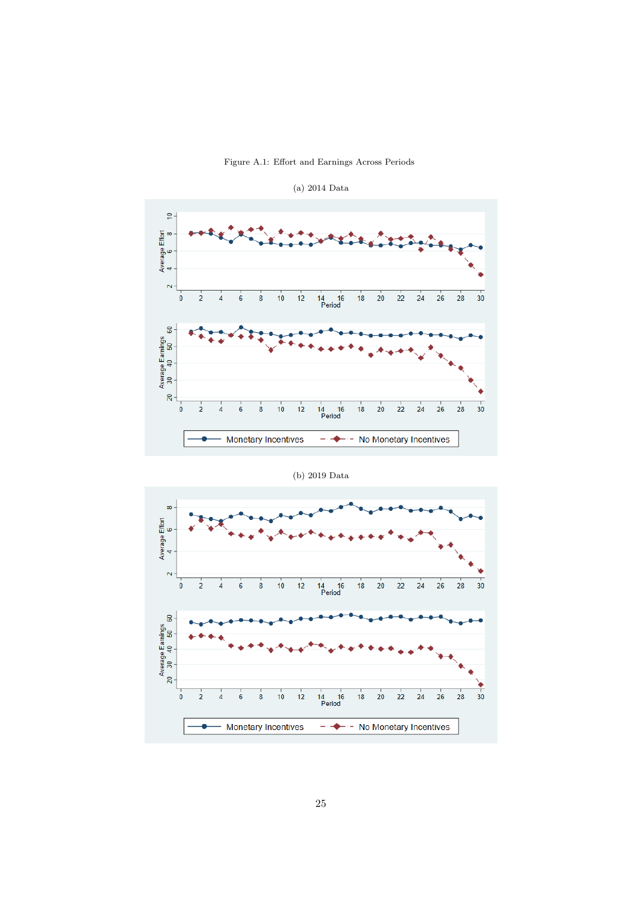Figure A.1: Effort and Earnings Across Periods

<span id="page-24-0"></span>

(a) 2014 Data

(b) 2019 Data

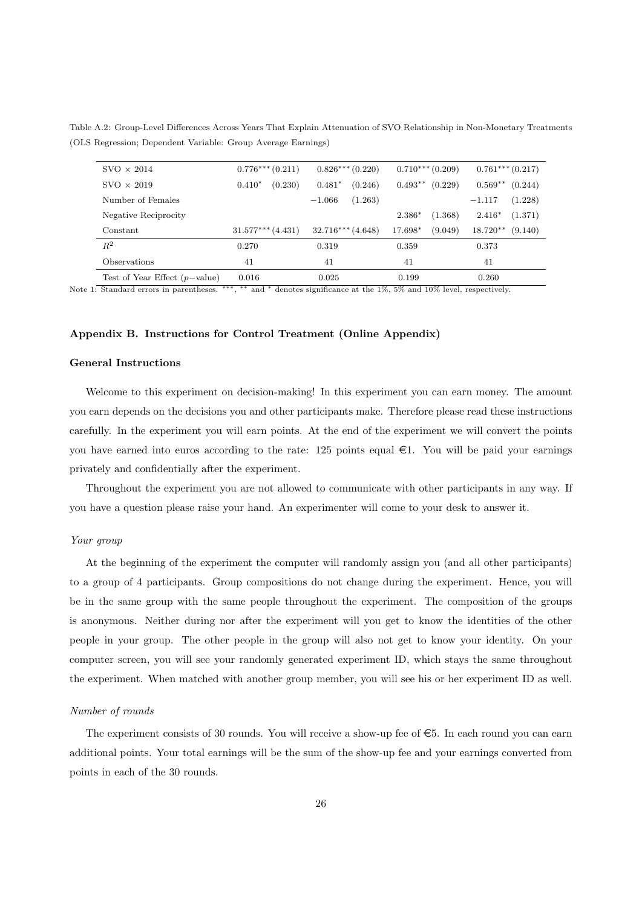<span id="page-25-0"></span>Table A.2: Group-Level Differences Across Years That Explain Attenuation of SVO Relationship in Non-Monetary Treatments (OLS Regression; Dependent Variable: Group Average Earnings)

| $SVO \times 2014$               | $0.776***(0.211)$     | $0.826***(0.220)$   | $0.710***(0.209)$    | $0.761***(0.217)$     |
|---------------------------------|-----------------------|---------------------|----------------------|-----------------------|
| $SVO \times 2019$               | (0.230)<br>$0.410*$   | (0.246)<br>$0.481*$ | $0.493**$<br>(0.229) | $0.569**$<br>(0.244)  |
| Number of Females               |                       | (1.263)<br>$-1.066$ |                      | (1.228)<br>$-1.117$   |
| Negative Reciprocity            |                       |                     | 2.386*<br>(1.368)    | $2.416*$<br>(1.371)   |
| Constant                        | $31.577***$ $(4.431)$ | $32.716***$ (4.648) | (9.049)<br>17.698*   | $18.720**$<br>(9.140) |
| $R^2$                           | 0.270                 | 0.319               | 0.359                | 0.373                 |
| Observations                    | 41                    | 41                  | 41                   | 41                    |
| Test of Year Effect $(p-value)$ | 0.016                 | 0.025               | 0.199                | 0.260                 |

Note 1: Standard errors in parentheses. , ∗∗ and <sup>∗</sup> denotes significance at the 1%, 5% and 10% level, respectively.

#### Appendix B. Instructions for Control Treatment (Online Appendix)

#### General Instructions

Welcome to this experiment on decision-making! In this experiment you can earn money. The amount you earn depends on the decisions you and other participants make. Therefore please read these instructions carefully. In the experiment you will earn points. At the end of the experiment we will convert the points you have earned into euros according to the rate: 125 points equal  $\epsilon$ 1. You will be paid your earnings privately and confidentially after the experiment.

Throughout the experiment you are not allowed to communicate with other participants in any way. If you have a question please raise your hand. An experimenter will come to your desk to answer it.

## Your group

At the beginning of the experiment the computer will randomly assign you (and all other participants) to a group of 4 participants. Group compositions do not change during the experiment. Hence, you will be in the same group with the same people throughout the experiment. The composition of the groups is anonymous. Neither during nor after the experiment will you get to know the identities of the other people in your group. The other people in the group will also not get to know your identity. On your computer screen, you will see your randomly generated experiment ID, which stays the same throughout the experiment. When matched with another group member, you will see his or her experiment ID as well.

#### Number of rounds

The experiment consists of 30 rounds. You will receive a show-up fee of  $\epsilon$ 5. In each round you can earn additional points. Your total earnings will be the sum of the show-up fee and your earnings converted from points in each of the 30 rounds.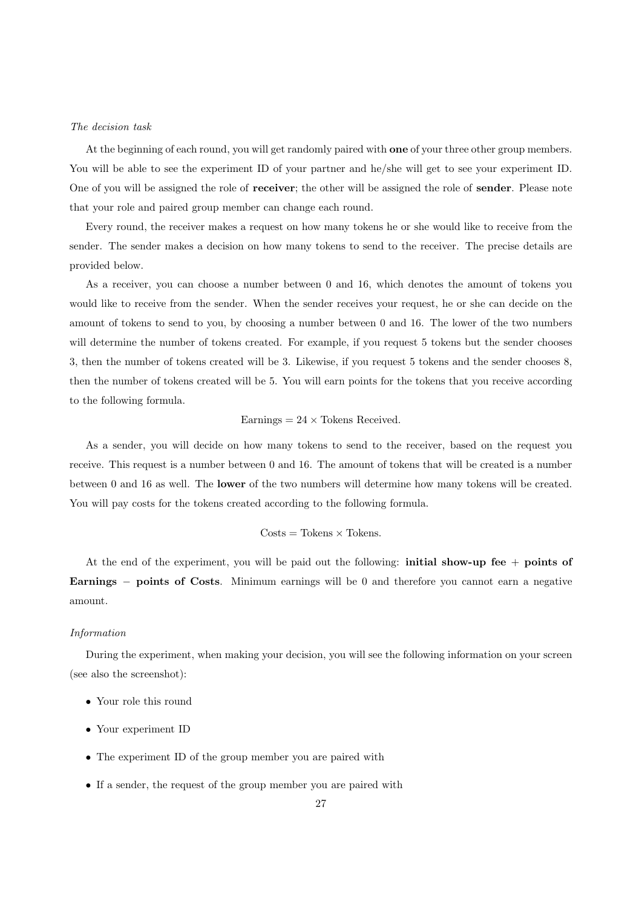#### The decision task

At the beginning of each round, you will get randomly paired with one of your three other group members. You will be able to see the experiment ID of your partner and he/she will get to see your experiment ID. One of you will be assigned the role of receiver; the other will be assigned the role of sender. Please note that your role and paired group member can change each round.

Every round, the receiver makes a request on how many tokens he or she would like to receive from the sender. The sender makes a decision on how many tokens to send to the receiver. The precise details are provided below.

As a receiver, you can choose a number between 0 and 16, which denotes the amount of tokens you would like to receive from the sender. When the sender receives your request, he or she can decide on the amount of tokens to send to you, by choosing a number between 0 and 16. The lower of the two numbers will determine the number of tokens created. For example, if you request 5 tokens but the sender chooses 3, then the number of tokens created will be 3. Likewise, if you request 5 tokens and the sender chooses 8, then the number of tokens created will be 5. You will earn points for the tokens that you receive according to the following formula.

#### Earnings  $= 24 \times$  Tokens Received.

As a sender, you will decide on how many tokens to send to the receiver, based on the request you receive. This request is a number between 0 and 16. The amount of tokens that will be created is a number between 0 and 16 as well. The lower of the two numbers will determine how many tokens will be created. You will pay costs for the tokens created according to the following formula.

#### $\text{Costs} = \text{Tokens} \times \text{Tokens}.$

At the end of the experiment, you will be paid out the following: **initial show-up fee**  $+$  **points of** Earnings − points of Costs. Minimum earnings will be 0 and therefore you cannot earn a negative amount.

#### Information

During the experiment, when making your decision, you will see the following information on your screen (see also the screenshot):

- Your role this round
- Your experiment ID
- The experiment ID of the group member you are paired with
- If a sender, the request of the group member you are paired with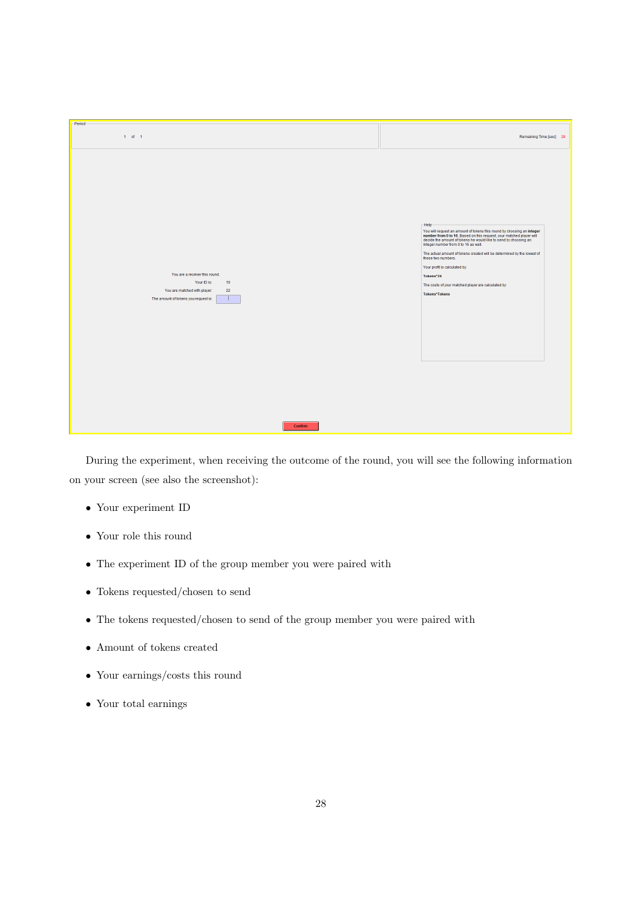| -Period-                                                                                                                                                         |                                                                                                                                                                                                                                                                                                                                                                                                                                                                                                    |
|------------------------------------------------------------------------------------------------------------------------------------------------------------------|----------------------------------------------------------------------------------------------------------------------------------------------------------------------------------------------------------------------------------------------------------------------------------------------------------------------------------------------------------------------------------------------------------------------------------------------------------------------------------------------------|
| $1$ of $1$                                                                                                                                                       | Remaining Time [sec]: 28                                                                                                                                                                                                                                                                                                                                                                                                                                                                           |
| You are a receiver this round.<br>Your ID is:<br>10 <sub>10</sub><br>You are matched with player:<br>$\bf 22$<br>The amount of tokens you request is:<br>Confirm | -Help-<br>You will request an amount of tokens this round by choosing an integer<br>number from 0 to 16. Based on this request, your matched player will<br>decide the amount of tokens he would like to send by choosing an<br>integer number from 0 to 16 as well.<br>The actual amount of tokens created will be determined by the lowest of<br>these two numbers.<br>Your profit is calculated by:<br>Tokens*24<br>The costs of your matched player are calculated by:<br><b>Tokens*Tokens</b> |

During the experiment, when receiving the outcome of the round, you will see the following information on your screen (see also the screenshot):

- Your experiment ID
- Your role this round
- The experiment ID of the group member you were paired with
- Tokens requested/chosen to send
- The tokens requested/chosen to send of the group member you were paired with
- Amount of tokens created
- Your earnings/costs this round
- Your total earnings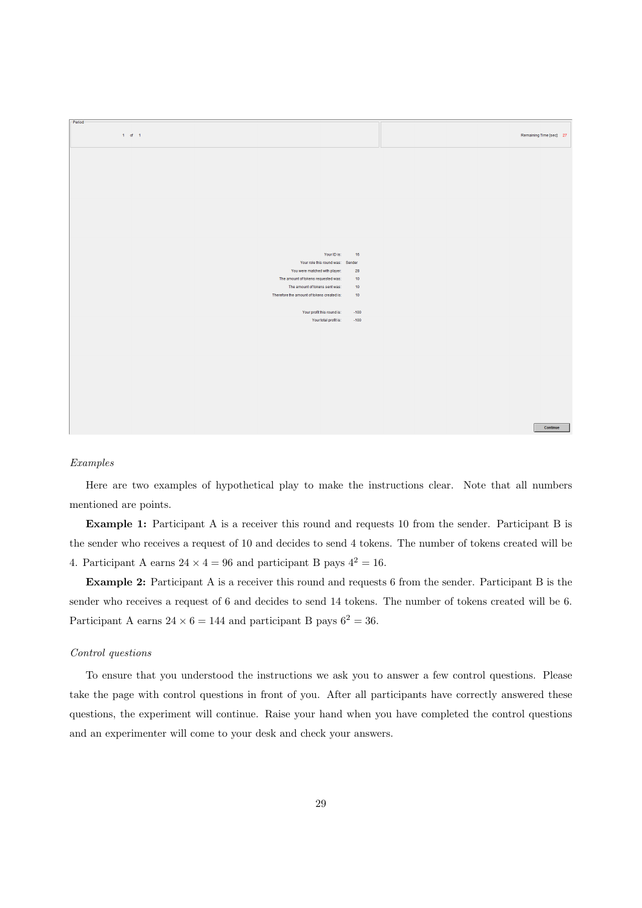| Period-                                    |                  |                          |
|--------------------------------------------|------------------|--------------------------|
|                                            |                  |                          |
| $1$ of 1                                   |                  | Remaining Time [sec]: 27 |
|                                            |                  |                          |
|                                            |                  |                          |
|                                            |                  |                          |
|                                            |                  |                          |
|                                            |                  |                          |
|                                            |                  |                          |
|                                            |                  |                          |
|                                            |                  |                          |
|                                            |                  |                          |
|                                            |                  |                          |
|                                            |                  |                          |
|                                            |                  |                          |
|                                            |                  |                          |
|                                            |                  |                          |
|                                            |                  |                          |
|                                            |                  |                          |
|                                            |                  |                          |
|                                            |                  |                          |
|                                            |                  |                          |
|                                            |                  |                          |
|                                            |                  |                          |
|                                            |                  |                          |
|                                            |                  |                          |
| Your ID is:                                | 16               |                          |
| Your role this round was: Sender           |                  |                          |
|                                            |                  |                          |
| You were matched with player:              | 28               |                          |
| The amount of tokens requested was:        | 10 <sub>10</sub> |                          |
|                                            |                  |                          |
| The amount of tokens sent was:             | 10 <sub>10</sub> |                          |
| Therefore the amount of tokens created is: | 10 <sub>10</sub> |                          |
|                                            |                  |                          |
|                                            |                  |                          |
|                                            |                  |                          |
| Your profit this round is:                 | $-100$           |                          |
| Your total profit is:                      | $-100$           |                          |
|                                            |                  |                          |
|                                            |                  |                          |
|                                            |                  |                          |
|                                            |                  |                          |
|                                            |                  |                          |
|                                            |                  |                          |
|                                            |                  |                          |
|                                            |                  |                          |
|                                            |                  |                          |
|                                            |                  |                          |
|                                            |                  |                          |
|                                            |                  |                          |
|                                            |                  |                          |
|                                            |                  |                          |
|                                            |                  |                          |
|                                            |                  |                          |
|                                            |                  |                          |
|                                            |                  |                          |
|                                            |                  |                          |
|                                            |                  |                          |
|                                            |                  | Continue                 |
|                                            |                  |                          |
|                                            |                  |                          |

#### Examples

Here are two examples of hypothetical play to make the instructions clear. Note that all numbers mentioned are points.

Example 1: Participant A is a receiver this round and requests 10 from the sender. Participant B is the sender who receives a request of 10 and decides to send 4 tokens. The number of tokens created will be 4. Participant A earns  $24 \times 4 = 96$  and participant B pays  $4^2 = 16$ .

Example 2: Participant A is a receiver this round and requests 6 from the sender. Participant B is the sender who receives a request of 6 and decides to send 14 tokens. The number of tokens created will be 6. Participant A earns  $24 \times 6 = 144$  and participant B pays  $6^2 = 36$ .

#### Control questions

To ensure that you understood the instructions we ask you to answer a few control questions. Please take the page with control questions in front of you. After all participants have correctly answered these questions, the experiment will continue. Raise your hand when you have completed the control questions and an experimenter will come to your desk and check your answers.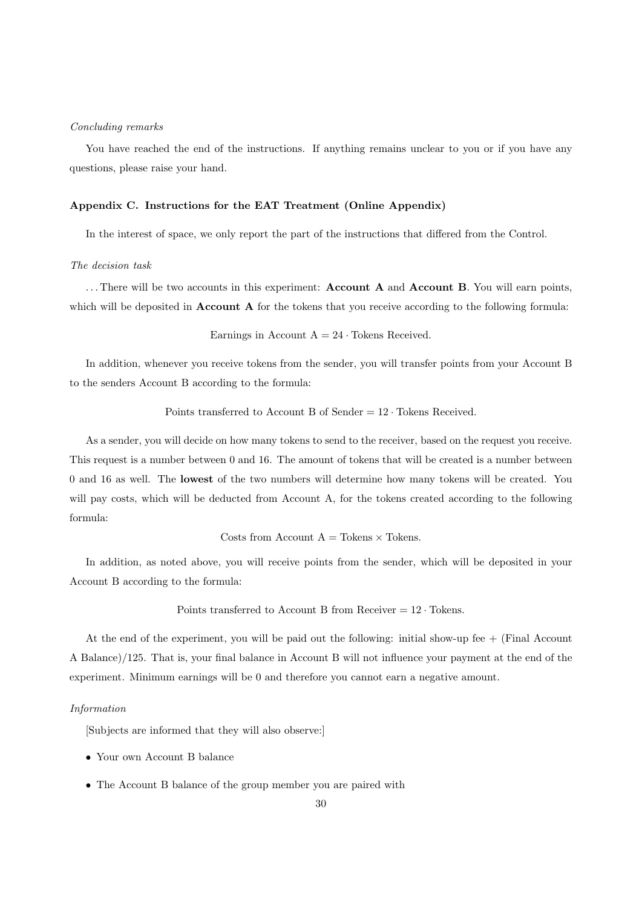#### Concluding remarks

You have reached the end of the instructions. If anything remains unclear to you or if you have any questions, please raise your hand.

## Appendix C. Instructions for the EAT Treatment (Online Appendix)

In the interest of space, we only report the part of the instructions that differed from the Control.

#### The decision task

... There will be two accounts in this experiment: **Account A** and **Account B**. You will earn points, which will be deposited in **Account A** for the tokens that you receive according to the following formula:

Earnings in Account  $A = 24$  · Tokens Received.

In addition, whenever you receive tokens from the sender, you will transfer points from your Account B to the senders Account B according to the formula:

Points transferred to Account B of Sender  $= 12 \cdot$  Tokens Received.

As a sender, you will decide on how many tokens to send to the receiver, based on the request you receive. This request is a number between 0 and 16. The amount of tokens that will be created is a number between 0 and 16 as well. The lowest of the two numbers will determine how many tokens will be created. You will pay costs, which will be deducted from Account A, for the tokens created according to the following formula:

Costs from Account  $A = T \circ k$ ens  $\times$  Tokens.

In addition, as noted above, you will receive points from the sender, which will be deposited in your Account B according to the formula:

## Points transferred to Account B from Receiver  $= 12 \cdot \text{Tokens.}$

At the end of the experiment, you will be paid out the following: initial show-up fee + (Final Account A Balance)/125. That is, your final balance in Account B will not influence your payment at the end of the experiment. Minimum earnings will be 0 and therefore you cannot earn a negative amount.

#### Information

[Subjects are informed that they will also observe:]

- Your own Account B balance
- The Account B balance of the group member you are paired with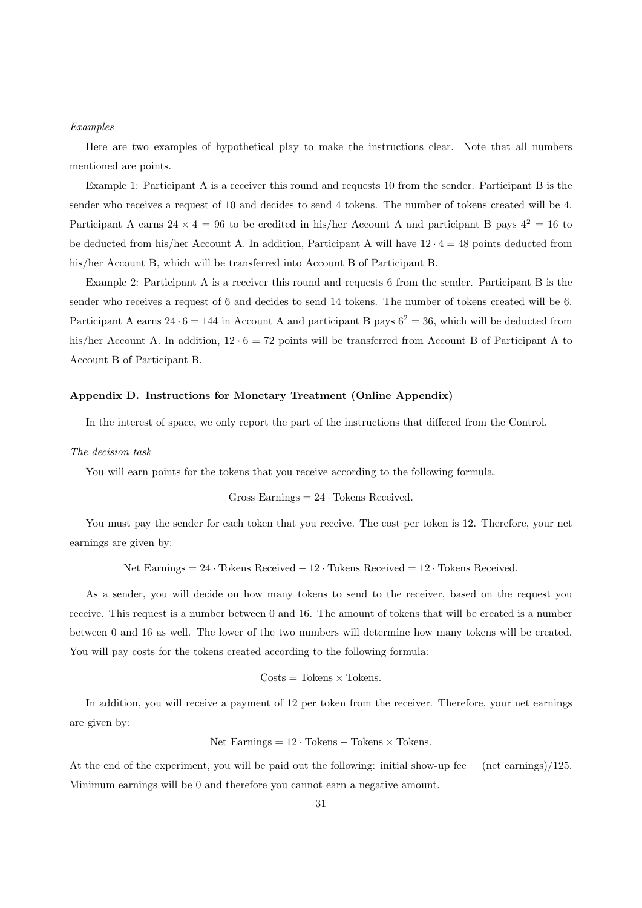#### Examples

Here are two examples of hypothetical play to make the instructions clear. Note that all numbers mentioned are points.

Example 1: Participant A is a receiver this round and requests 10 from the sender. Participant B is the sender who receives a request of 10 and decides to send 4 tokens. The number of tokens created will be 4. Participant A earns  $24 \times 4 = 96$  to be credited in his/her Account A and participant B pays  $4^2 = 16$  to be deducted from his/her Account A. In addition, Participant A will have  $12 \cdot 4 = 48$  points deducted from his/her Account B, which will be transferred into Account B of Participant B.

Example 2: Participant A is a receiver this round and requests 6 from the sender. Participant B is the sender who receives a request of 6 and decides to send 14 tokens. The number of tokens created will be 6. Participant A earns 24  $\cdot$  6 = 144 in Account A and participant B pays  $6^2 = 36$ , which will be deducted from his/her Account A. In addition,  $12 \cdot 6 = 72$  points will be transferred from Account B of Participant A to Account B of Participant B.

## Appendix D. Instructions for Monetary Treatment (Online Appendix)

In the interest of space, we only report the part of the instructions that differed from the Control.

#### The decision task

You will earn points for the tokens that you receive according to the following formula.

Gross Earning
$$
s = 24
$$
  $\cdot$  Tokens Received.

You must pay the sender for each token that you receive. The cost per token is 12. Therefore, your net earnings are given by:

Net Earnings =  $24 \cdot$  Tokens Received  $-12 \cdot$  Tokens Received =  $12 \cdot$  Tokens Received.

As a sender, you will decide on how many tokens to send to the receiver, based on the request you receive. This request is a number between 0 and 16. The amount of tokens that will be created is a number between 0 and 16 as well. The lower of the two numbers will determine how many tokens will be created. You will pay costs for the tokens created according to the following formula:

$$
Costs = Tokens \times Tokens.
$$

In addition, you will receive a payment of 12 per token from the receiver. Therefore, your net earnings are given by:

Net Earnings = 
$$
12 \cdot \text{Tokens} - \text{Tokens} \times \text{Tokens}
$$
.

At the end of the experiment, you will be paid out the following: initial show-up fee  $+$  (net earnings)/125. Minimum earnings will be 0 and therefore you cannot earn a negative amount.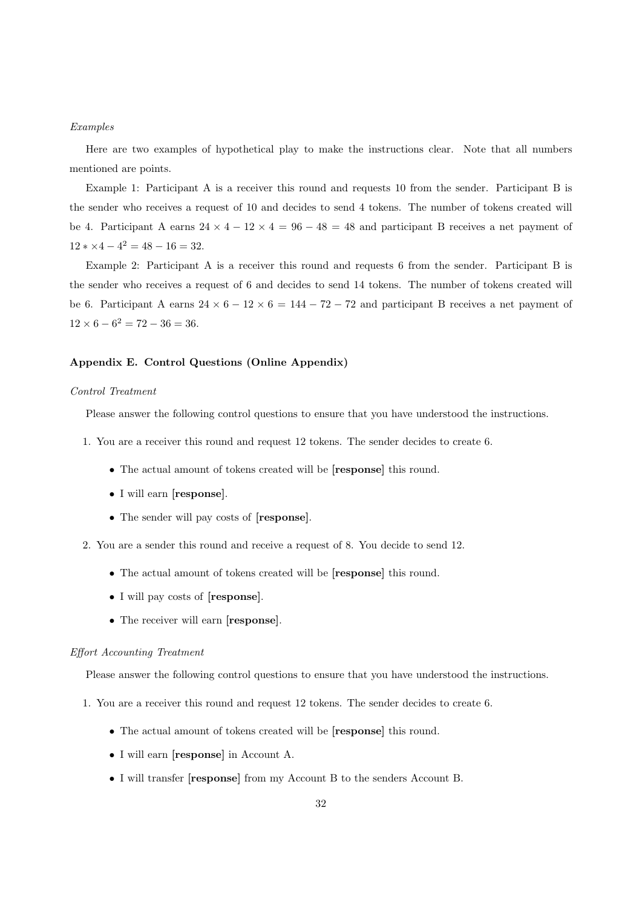#### Examples

Here are two examples of hypothetical play to make the instructions clear. Note that all numbers mentioned are points.

Example 1: Participant A is a receiver this round and requests 10 from the sender. Participant B is the sender who receives a request of 10 and decides to send 4 tokens. The number of tokens created will be 4. Participant A earns  $24 \times 4 - 12 \times 4 = 96 - 48 = 48$  and participant B receives a net payment of  $12 * \times 4 - 4^2 = 48 - 16 = 32.$ 

Example 2: Participant A is a receiver this round and requests 6 from the sender. Participant B is the sender who receives a request of 6 and decides to send 14 tokens. The number of tokens created will be 6. Participant A earns  $24 \times 6 - 12 \times 6 = 144 - 72 - 72$  and participant B receives a net payment of  $12 \times 6 - 6^2 = 72 - 36 = 36.$ 

### Appendix E. Control Questions (Online Appendix)

#### Control Treatment

Please answer the following control questions to ensure that you have understood the instructions.

- 1. You are a receiver this round and request 12 tokens. The sender decides to create 6.
	- The actual amount of tokens created will be [**response**] this round.
	- I will earn [response].
	- The sender will pay costs of [response].
- 2. You are a sender this round and receive a request of 8. You decide to send 12.
	- The actual amount of tokens created will be [response] this round.
	- I will pay costs of [response].
	- The receiver will earn [response].

#### Effort Accounting Treatment

Please answer the following control questions to ensure that you have understood the instructions.

- 1. You are a receiver this round and request 12 tokens. The sender decides to create 6.
	- The actual amount of tokens created will be [response] this round.
	- I will earn [response] in Account A.
	- I will transfer [response] from my Account B to the senders Account B.